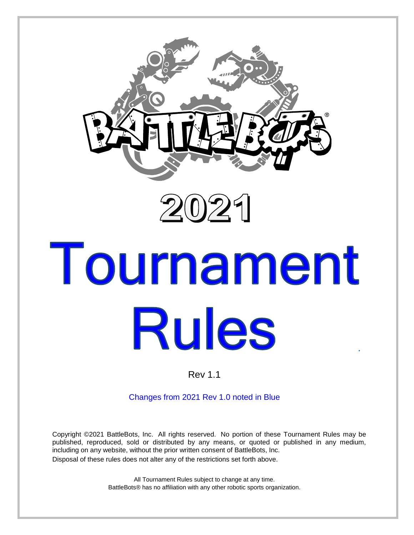



# Tournament **Rules**

Rev 1.1

Changes from 2021 Rev 1.0 noted in Blue

Copyright ©2021 BattleBots, Inc. All rights reserved. No portion of these Tournament Rules may be published, reproduced, sold or distributed by any means, or quoted or published in any medium, including on any website, without the prior written consent of BattleBots, Inc. Disposal of these rules does not alter any of the restrictions set forth above.

> All Tournament Rules subject to change at any time. BattleBots® has no affiliation with any other robotic sports organization.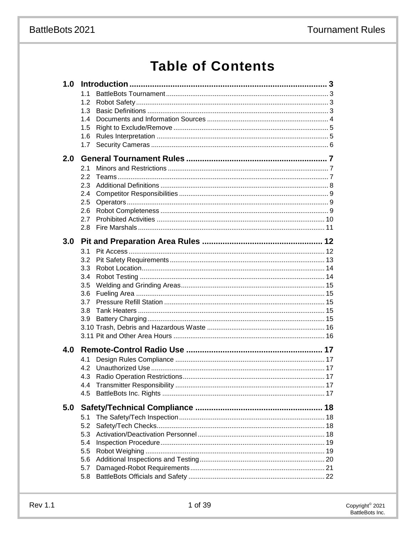# **Table of Contents**

| 1.0 |                                                             |  |
|-----|-------------------------------------------------------------|--|
|     | 1.1<br>1.2<br>1.3<br>1.4<br>1.5<br>1.6                      |  |
| 2.0 | 1.7                                                         |  |
|     | 2.1<br>2.2<br>2.3<br>2.4<br>2.5<br>2.6<br>2.7<br>2.8        |  |
| 3.0 | 3.1<br>3.2<br>3.3<br>3.4<br>3.5<br>3.6<br>3.7<br>3.8<br>3.9 |  |
| 4.0 | 4.1<br>4.2<br>4.3<br>4.5                                    |  |
| 5.0 | 5.1<br>5.2<br>5.3<br>5.4<br>5.5<br>5.6<br>5.7<br>5.8        |  |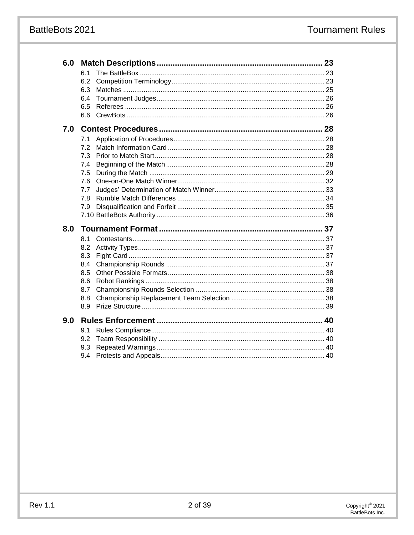# BattleBots 2021

| 6.0 |     |  |
|-----|-----|--|
|     | 6.1 |  |
|     | 6.2 |  |
|     | 6.3 |  |
|     | 6.4 |  |
|     | 6.5 |  |
|     | 6.6 |  |
| 7.0 |     |  |
|     | 7.1 |  |
|     | 7.2 |  |
|     | 7.3 |  |
|     | 7.4 |  |
|     | 7.5 |  |
|     | 7.6 |  |
|     | 7.7 |  |
|     | 7.8 |  |
|     | 7.9 |  |
|     |     |  |
| 8.0 |     |  |
|     | 8.1 |  |
|     | 8.2 |  |
|     | 8.3 |  |
|     | 8.4 |  |
|     | 8.5 |  |
|     | 8.6 |  |
|     | 8.7 |  |
|     | 8.8 |  |
|     | 8.9 |  |
| 9.0 |     |  |
|     | 9.1 |  |
|     | 9.2 |  |
|     | 9.3 |  |
|     | 9.4 |  |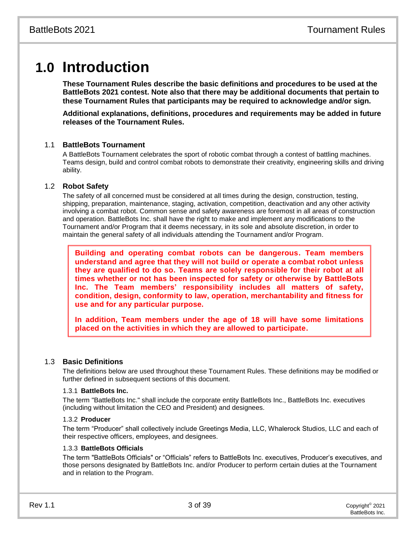# **1.0 Introduction**

**These Tournament Rules describe the basic definitions and procedures to be used at the BattleBots 2021 contest. Note also that there may be additional documents that pertain to these Tournament Rules that participants may be required to acknowledge and/or sign.**

**Additional explanations, definitions, procedures and requirements may be added in future releases of the Tournament Rules.**

# 1.1 **BattleBots Tournament**

A BattleBots Tournament celebrates the sport of robotic combat through a contest of battling machines. Teams design, build and control combat robots to demonstrate their creativity, engineering skills and driving ability.

# 1.2 **Robot Safety**

The safety of all concerned must be considered at all times during the design, construction, testing, shipping, preparation, maintenance, staging, activation, competition, deactivation and any other activity involving a combat robot. Common sense and safety awareness are foremost in all areas of construction and operation. BattleBots Inc. shall have the right to make and implement any modifications to the Tournament and/or Program that it deems necessary, in its sole and absolute discretion, in order to maintain the general safety of all individuals attending the Tournament and/or Program.

**Building and operating combat robots can be dangerous. Team members understand and agree that they will not build or operate a combat robot unless they are qualified to do so. Teams are solely responsible for their robot at all times whether or not has been inspected for safety or otherwise by BattleBots Inc. The Team members' responsibility includes all matters of safety, condition, design, conformity to law, operation, merchantability and fitness for use and for any particular purpose.**

**In addition, Team members under the age of 18 will have some limitations placed on the activities in which they are allowed to participate.**

# 1.3 **Basic Definitions**

The definitions below are used throughout these Tournament Rules. These definitions may be modified or further defined in subsequent sections of this document.

#### 1.3.1 **BattleBots Inc.**

The term "BattleBots Inc." shall include the corporate entity BattleBots Inc., BattleBots Inc. executives (including without limitation the CEO and President) and designees.

#### 1.3.2 **Producer**

The term "Producer" shall collectively include Greetings Media, LLC, Whalerock Studios, LLC and each of their respective officers, employees, and designees.

# 1.3.3 **BattleBots Officials**

The term "BattleBots Officials" or "Officials" refers to BattleBots Inc. executives, Producer's executives, and those persons designated by BattleBots Inc. and/or Producer to perform certain duties at the Tournament and in relation to the Program.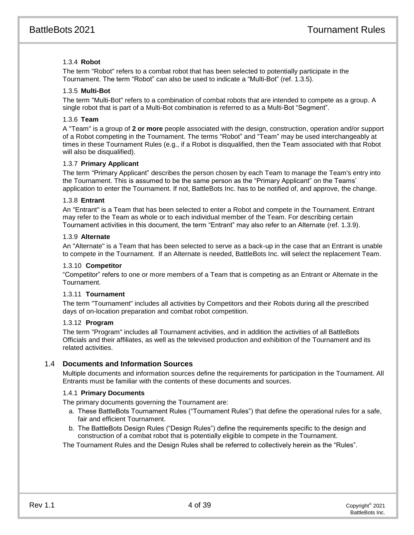#### 1.3.4 **Robot**

The term "Robot" refers to a combat robot that has been selected to potentially participate in the Tournament. The term "Robot" can also be used to indicate a "Multi-Bot" (ref[. 1.3.5\)](#page-4-0).

#### <span id="page-4-0"></span>1.3.5 **Multi-Bot**

The term "Multi-Bot" refers to a combination of combat robots that are intended to compete as a group. A single robot that is part of a Multi-Bot combination is referred to as a Multi-Bot "Segment".

#### 1.3.6 **Team**

A "Team" is a group of **2 or more** people associated with the design, construction, operation and/or support of a Robot competing in the Tournament. The terms "Robot" and "Team" may be used interchangeably at times in these Tournament Rules (e.g., if a Robot is disqualified, then the Team associated with that Robot will also be disqualified).

#### 1.3.7 **Primary Applicant**

The term "Primary Applicant" describes the person chosen by each Team to manage the Team's entry into the Tournament. This is assumed to be the same person as the "Primary Applicant" on the Teams' application to enter the Tournament. If not, BattleBots Inc. has to be notified of, and approve, the change.

#### 1.3.8 **Entrant**

An "Entrant" is a Team that has been selected to enter a Robot and compete in the Tournament. Entrant may refer to the Team as whole or to each individual member of the Team. For describing certain Tournament activities in this document, the term "Entrant" may also refer to an Alternate (ref. 1.3.9).

#### 1.3.9 **Alternate**

An "Alternate" is a Team that has been selected to serve as a back-up in the case that an Entrant is unable to compete in the Tournament. If an Alternate is needed, BattleBots Inc. will select the replacement Team.

#### 1.3.10 **Competitor**

"Competitor" refers to one or more members of a Team that is competing as an Entrant or Alternate in the Tournament.

#### 1.3.11 **Tournament**

The term "Tournament" includes all activities by Competitors and their Robots during all the prescribed days of on-location preparation and combat robot competition.

#### 1.3.12 **Program**

The term "Program" includes all Tournament activities, and in addition the activities of all BattleBots Officials and their affiliates, as well as the televised production and exhibition of the Tournament and its related activities.

#### 1.4 **Documents and Information Sources**

Multiple documents and information sources define the requirements for participation in the Tournament. All Entrants must be familiar with the contents of these documents and sources.

#### 1.4.1 **Primary Documents**

The primary documents governing the Tournament are:

- a. These BattleBots Tournament Rules ("Tournament Rules") that define the operational rules for a safe, fair and efficient Tournament.
- b. The BattleBots Design Rules ("Design Rules") define the requirements specific to the design and construction of a combat robot that is potentially eligible to compete in the Tournament.

The Tournament Rules and the Design Rules shall be referred to collectively herein as the "Rules".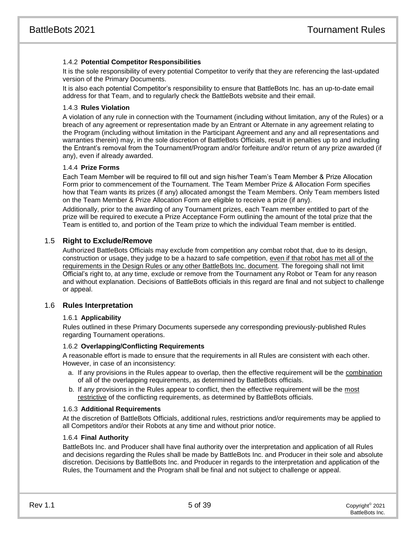## 1.4.2 **Potential Competitor Responsibilities**

It is the sole responsibility of every potential Competitor to verify that they are referencing the last-updated version of the Primary Documents.

It is also each potential Competitor's responsibility to ensure that BattleBots Inc. has an up-to-date email address for that Team, and to regularly check the BattleBots website and their email.

#### 1.4.3 **Rules Violation**

A violation of any rule in connection with the Tournament (including without limitation, any of the Rules) or a breach of any agreement or representation made by an Entrant or Alternate in any agreement relating to the Program (including without limitation in the Participant Agreement and any and all representations and warranties therein) may, in the sole discretion of BattleBots Officials, result in penalties up to and including the Entrant's removal from the Tournament/Program and/or forfeiture and/or return of any prize awarded (if any), even if already awarded.

#### 1.4.4 **Prize Forms**

Each Team Member will be required to fill out and sign his/her Team's Team Member & Prize Allocation Form prior to commencement of the Tournament. The Team Member Prize & Allocation Form specifies how that Team wants its prizes (if any) allocated amongst the Team Members. Only Team members listed on the Team Member & Prize Allocation Form are eligible to receive a prize (if any).

Additionally, prior to the awarding of any Tournament prizes, each Team member entitled to part of the prize will be required to execute a Prize Acceptance Form outlining the amount of the total prize that the Team is entitled to, and portion of the Team prize to which the individual Team member is entitled.

# 1.5 **Right to Exclude/Remove**

Authorized BattleBots Officials may exclude from competition any combat robot that, due to its design, construction or usage, they judge to be a hazard to safe competition, even if that robot has met all of the requirements in the Design Rules or any other BattleBots Inc. document. The foregoing shall not limit Official's right to, at any time, exclude or remove from the Tournament any Robot or Team for any reason and without explanation. Decisions of BattleBots officials in this regard are final and not subject to challenge or appeal.

#### 1.6 **Rules Interpretation**

#### 1.6.1 **Applicability**

Rules outlined in these Primary Documents supersede any corresponding previously-published Rules regarding Tournament operations.

#### 1.6.2 **Overlapping/Conflicting Requirements**

A reasonable effort is made to ensure that the requirements in all Rules are consistent with each other. However, in case of an inconsistency:

- a. If any provisions in the Rules appear to overlap, then the effective requirement will be the combination of all of the overlapping requirements, as determined by BattleBots officials.
- b. If any provisions in the Rules appear to conflict, then the effective requirement will be the most restrictive of the conflicting requirements, as determined by BattleBots officials.

#### 1.6.3 **Additional Requirements**

At the discretion of BattleBots Officials, additional rules, restrictions and/or requirements may be applied to all Competitors and/or their Robots at any time and without prior notice.

#### 1.6.4 **Final Authority**

BattleBots Inc. and Producer shall have final authority over the interpretation and application of all Rules and decisions regarding the Rules shall be made by BattleBots Inc. and Producer in their sole and absolute discretion. Decisions by BattleBots Inc. and Producer in regards to the interpretation and application of the Rules, the Tournament and the Program shall be final and not subject to challenge or appeal.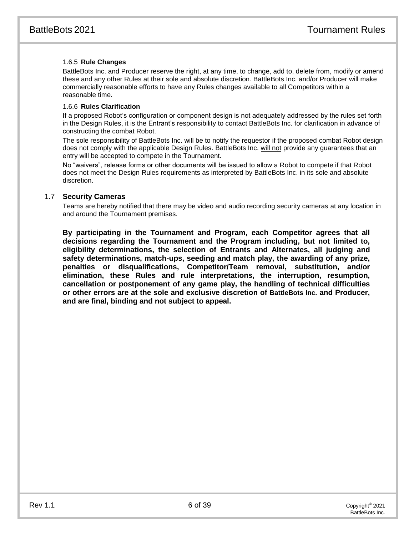## 1.6.5 **Rule Changes**

BattleBots Inc. and Producer reserve the right, at any time, to change, add to, delete from, modify or amend these and any other Rules at their sole and absolute discretion. BattleBots Inc. and/or Producer will make commercially reasonable efforts to have any Rules changes available to all Competitors within a reasonable time.

#### 1.6.6 **Rules Clarification**

If a proposed Robot's configuration or component design is not adequately addressed by the rules set forth in the Design Rules, it is the Entrant's responsibility to contact BattleBots Inc. for clarification in advance of constructing the combat Robot.

The sole responsibility of BattleBots Inc. will be to notify the requestor if the proposed combat Robot design does not comply with the applicable Design Rules. BattleBots Inc. will not provide any guarantees that an entry will be accepted to compete in the Tournament.

No "waivers", release forms or other documents will be issued to allow a Robot to compete if that Robot does not meet the Design Rules requirements as interpreted by BattleBots Inc. in its sole and absolute discretion.

# 1.7 **Security Cameras**

Teams are hereby notified that there may be video and audio recording security cameras at any location in and around the Tournament premises.

**By participating in the Tournament and Program, each Competitor agrees that all decisions regarding the Tournament and the Program including, but not limited to, eligibility determinations, the selection of Entrants and Alternates, all judging and safety determinations, match-ups, seeding and match play, the awarding of any prize, penalties or disqualifications, Competitor/Team removal, substitution, and/or elimination, these Rules and rule interpretations, the interruption, resumption, cancellation or postponement of any game play, the handling of technical difficulties or other errors are at the sole and exclusive discretion of BattleBots Inc. and Producer, and are final, binding and not subject to appeal.**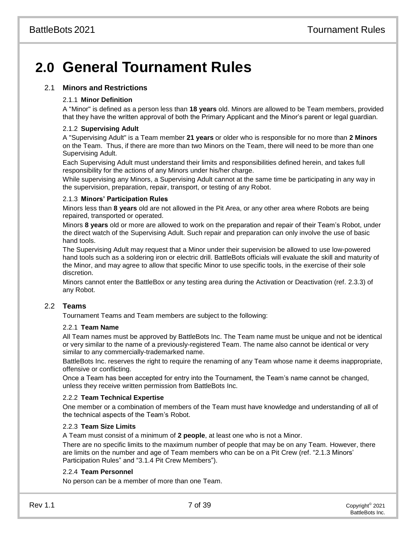# **2.0 General Tournament Rules**

# 2.1 **Minors and Restrictions**

# 2.1.1 **Minor Definition**

A "Minor" is defined as a person less than **18 years** old. Minors are allowed to be Team members, provided that they have the written approval of both the Primary Applicant and the Minor's parent or legal guardian.

#### 2.1.2 **Supervising Adult**

A "Supervising Adult" is a Team member **21 years** or older who is responsible for no more than **2 Minors** on the Team. Thus, if there are more than two Minors on the Team, there will need to be more than one Supervising Adult.

Each Supervising Adult must understand their limits and responsibilities defined herein, and takes full responsibility for the actions of any Minors under his/her charge.

While supervising any Minors, a Supervising Adult cannot at the same time be participating in any way in the supervision, preparation, repair, transport, or testing of any Robot.

#### 2.1.3 **Minors' Participation Rules**

Minors less than **8 years** old are not allowed in the Pit Area, or any other area where Robots are being repaired, transported or operated.

Minors **8 years** old or more are allowed to work on the preparation and repair of their Team's Robot, under the direct watch of the Supervising Adult. Such repair and preparation can only involve the use of basic hand tools.

The Supervising Adult may request that a Minor under their supervision be allowed to use low-powered hand tools such as a soldering iron or electric drill. BattleBots officials will evaluate the skill and maturity of the Minor, and may agree to allow that specific Minor to use specific tools, in the exercise of their sole discretion.

Minors cannot enter the BattleBox or any testing area during the Activation or Deactivation (ref. 2.3.3) of any Robot.

#### 2.2 **Teams**

Tournament Teams and Team members are subject to the following:

#### 2.2.1 **Team Name**

All Team names must be approved by BattleBots Inc. The Team name must be unique and not be identical or very similar to the name of a previously-registered Team. The name also cannot be identical or very similar to any commercially-trademarked name.

BattleBots Inc. reserves the right to require the renaming of any Team whose name it deems inappropriate, offensive or conflicting.

Once a Team has been accepted for entry into the Tournament, the Team's name cannot be changed, unless they receive written permission from BattleBots Inc.

#### 2.2.2 **Team Technical Expertise**

One member or a combination of members of the Team must have knowledge and understanding of all of the technical aspects of the Team's Robot.

#### 2.2.3 **Team Size Limits**

A Team must consist of a minimum of **2 people**, at least one who is not a Minor.

There are no specific limits to the maximum number of people that may be on any Team. However, there are limits on the number and age of Team members who can be on a Pit Crew (ref. "2.1.3 Minors' Participation Rules" and ["3.1.4](#page-12-0) Pit Crew [Members"](#page-12-0)).

# 2.2.4 **Team Personnel**

No person can be a member of more than one Team.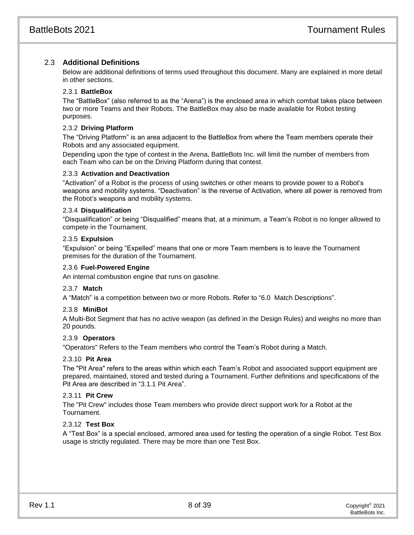# 2.3 **Additional Definitions**

Below are additional definitions of terms used throughout this document. Many are explained in more detail in other sections.

#### 2.3.1 **BattleBox**

The "BattleBox" (also referred to as the "Arena") is the enclosed area in which combat takes place between two or more Teams and their Robots. The BattleBox may also be made available for Robot testing purposes.

#### 2.3.2 **Driving Platform**

The "Driving Platform" is an area adjacent to the BattleBox from where the Team members operate their Robots and any associated equipment.

Depending upon the type of contest in the Arena, BattleBots Inc. will limit the number of members from each Team who can be on the Driving Platform during that contest.

#### 2.3.3 **Activation and Deactivation**

"Activation" of a Robot is the process of using switches or other means to provide power to a Robot's weapons and mobility systems. "Deactivation" is the reverse of Activation, where all power is removed from the Robot's weapons and mobility systems.

#### 2.3.4 **Disqualification**

"Disqualification" or being "Disqualified" means that, at a minimum, a Team's Robot is no longer allowed to compete in the Tournament.

#### 2.3.5 **Expulsion**

"Expulsion" or being "Expelled" means that one or more Team members is to leave the Tournament premises for the duration of the Tournament.

#### 2.3.6 **Fuel-Powered Engine**

An internal combustion engine that runs on gasoline.

#### 2.3.7 **Match**

A "Match" is a competition between two or more Robots. Refer to "6.0 Match Descriptions".

#### 2.3.8 **MiniBot**

A Multi-Bot Segment that has no active weapon (as defined in the Design Rules) and weighs no more than 20 pounds.

#### 2.3.9 **Operators**

"Operators" Refers to the Team members who control the Team's Robot during a Match.

## 2.3.10 **Pit Area**

The "Pit Area" refers to the areas within which each Team's Robot and associated support equipment are prepared, maintained, stored and tested during a Tournament. Further definitions and specifications of the Pit Area are described in "3.1.1 Pit Area".

#### 2.3.11 **Pit Crew**

The "Pit Crew" includes those Team members who provide direct support work for a Robot at the Tournament.

#### 2.3.12 **Test Box**

A "Test Box" is a special enclosed, armored area used for testing the operation of a single Robot. Test Box usage is strictly regulated. There may be more than one Test Box.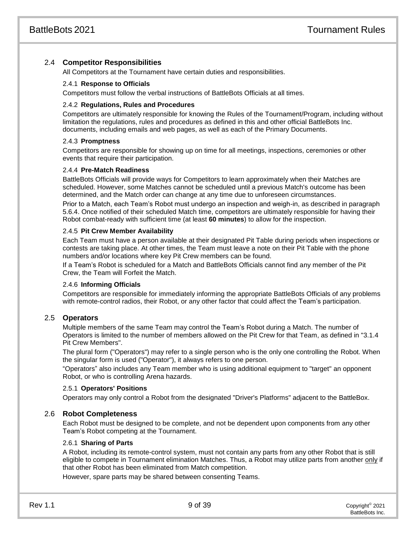# 2.4 **Competitor Responsibilities**

All Competitors at the Tournament have certain duties and responsibilities.

#### 2.4.1 **Response to Officials**

Competitors must follow the verbal instructions of BattleBots Officials at all times.

#### 2.4.2 **Regulations, Rules and Procedures**

Competitors are ultimately responsible for knowing the Rules of the Tournament/Program, including without limitation the regulations, rules and procedures as defined in this and other official BattleBots Inc. documents, including emails and web pages, as well as each of the Primary Documents.

#### 2.4.3 **Promptness**

Competitors are responsible for showing up on time for all meetings, inspections, ceremonies or other events that require their participation.

#### 2.4.4 **Pre-Match Readiness**

BattleBots Officials will provide ways for Competitors to learn approximately when their Matches are scheduled. However, some Matches cannot be scheduled until a previous Match's outcome has been determined, and the Match order can change at any time due to unforeseen circumstances.

Prior to a Match, each Team's Robot must undergo an inspection and weigh-in, as described in paragraph [5.6.4.](#page-20-0) Once notified of their scheduled Match time, competitors are ultimately responsible for having their Robot combat-ready with sufficient time (at least **60 minutes**) to allow for the inspection.

#### 2.4.5 **Pit Crew Member Availability**

Each Team must have a person available at their designated Pit Table during periods when inspections or contests are taking place. At other times, the Team must leave a note on their Pit Table with the phone numbers and/or locations where key Pit Crew members can be found.

If a Team's Robot is scheduled for a Match and BattleBots Officials cannot find any member of the Pit Crew, the Team will Forfeit the Match.

#### 2.4.6 **Informing Officials**

Competitors are responsible for immediately informing the appropriate BattleBots Officials of any problems with remote-control radios, their Robot, or any other factor that could affect the Team's participation.

#### 2.5 **Operators**

Multiple members of the same Team may control the Team's Robot during a Match. The number of Operators is limited to the number of members allowed on the Pit Crew for that Team, as defined in ["3.1.4](#page-12-0) Pit Crew [Members"](#page-12-0).

The plural form ("Operators") may refer to a single person who is the only one controlling the Robot. When the singular form is used ("Operator"), it always refers to one person.

"Operators" also includes any Team member who is using additional equipment to "target" an opponent Robot, or who is controlling Arena hazards.

#### 2.5.1 **Operators' Positions**

Operators may only control a Robot from the designated "Driver's Platforms" adjacent to the BattleBox.

#### 2.6 **Robot Completeness**

Each Robot must be designed to be complete, and not be dependent upon components from any other Team's Robot competing at the Tournament.

#### 2.6.1 **Sharing of Parts**

A Robot, including its remote-control system, must not contain any parts from any other Robot that is still eligible to compete in Tournament elimination Matches. Thus, a Robot may utilize parts from another only if that other Robot has been eliminated from Match competition.

However, spare parts may be shared between consenting Teams.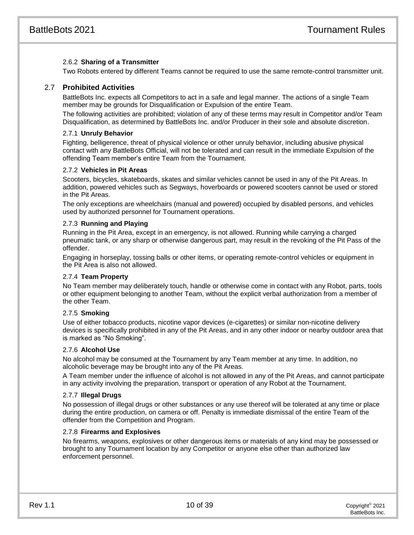# 2.6.2 **Sharing of a Transmitter**

Two Robots entered by different Teams cannot be required to use the same remote-control transmitter unit.

#### 2.7 **Prohibited Activities**

BattleBots Inc. expects all Competitors to act in a safe and legal manner. The actions of a single Team member may be grounds for Disqualification or Expulsion of the entire Team.

The following activities are prohibited; violation of any of these terms may result in Competitor and/or Team Disqualification, as determined by BattleBots Inc. and/or Producer in their sole and absolute discretion.

#### 2.7.1 **Unruly Behavior**

Fighting, belligerence, threat of physical violence or other unruly behavior, including abusive physical contact with any BattleBots Official, will not be tolerated and can result in the immediate Expulsion of the offending Team member's entire Team from the Tournament.

#### 2.7.2 **Vehicles in Pit Areas**

Scooters, bicycles, skateboards, skates and similar vehicles cannot be used in any of the Pit Areas. In addition, powered vehicles such as Segways, hoverboards or powered scooters cannot be used or stored in the Pit Areas.

The only exceptions are wheelchairs (manual and powered) occupied by disabled persons, and vehicles used by authorized personnel for Tournament operations.

#### 2.7.3 **Running and Playing**

Running in the Pit Area, except in an emergency, is not allowed. Running while carrying a charged pneumatic tank, or any sharp or otherwise dangerous part, may result in the revoking of the Pit Pass of the offender.

Engaging in horseplay, tossing balls or other items, or operating remote-control vehicles or equipment in the Pit Area is also not allowed.

#### 2.7.4 **Team Property**

No Team member may deliberately touch, handle or otherwise come in contact with any Robot, parts, tools or other equipment belonging to another Team, without the explicit verbal authorization from a member of the other Team.

#### 2.7.5 **Smoking**

Use of either tobacco products, nicotine vapor devices (e-cigarettes) or similar non-nicotine delivery devices is specifically prohibited in any of the Pit Areas, and in any other indoor or nearby outdoor area that is marked as "No Smoking".

#### 2.7.6 **Alcohol Use**

No alcohol may be consumed at the Tournament by any Team member at any time. In addition, no alcoholic beverage may be brought into any of the Pit Areas.

A Team member under the influence of alcohol is not allowed in any of the Pit Areas, and cannot participate in any activity involving the preparation, transport or operation of any Robot at the Tournament.

#### 2.7.7 **Illegal Drugs**

No possession of illegal drugs or other substances or any use thereof will be tolerated at any time or place during the entire production, on camera or off. Penalty is immediate dismissal of the entire Team of the offender from the Competition and Program.

#### 2.7.8 **Firearms and Explosives**

No firearms, weapons, explosives or other dangerous items or materials of any kind may be possessed or brought to any Tournament location by any Competitor or anyone else other than authorized law enforcement personnel.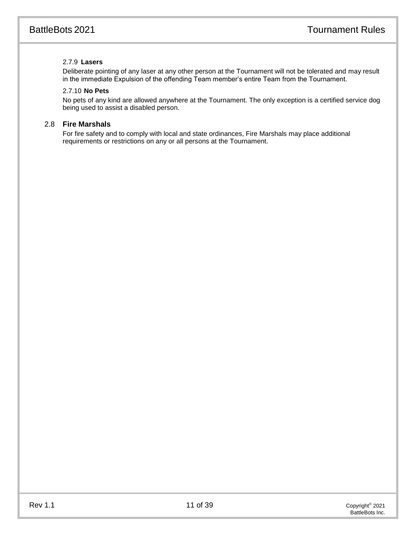# 2.7.9 **Lasers**

Deliberate pointing of any laser at any other person at the Tournament will not be tolerated and may result in the immediate Expulsion of the offending Team member's entire Team from the Tournament.

# 2.7.10 **No Pets**

No pets of any kind are allowed anywhere at the Tournament. The only exception is a certified service dog being used to assist a disabled person.

# 2.8 **Fire Marshals**

For fire safety and to comply with local and state ordinances, Fire Marshals may place additional requirements or restrictions on any or all persons at the Tournament.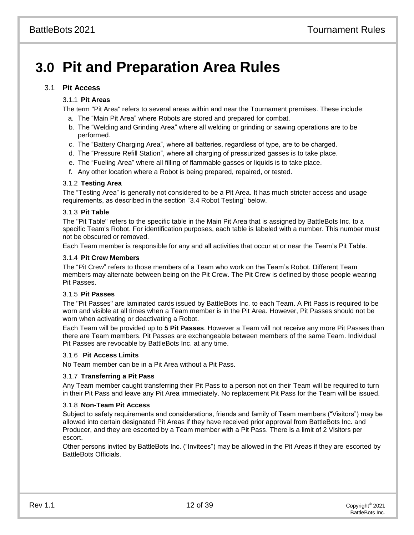# **3.0 Pit and Preparation Area Rules**

# 3.1 **Pit Access**

#### 3.1.1 **Pit Areas**

The term "Pit Area" refers to several areas within and near the Tournament premises. These include:

- a. The "Main Pit Area" where Robots are stored and prepared for combat.
- b. The "Welding and Grinding Area" where all welding or grinding or sawing operations are to be performed.
- c. The "Battery Charging Area", where all batteries, regardless of type, are to be charged.
- d. The "Pressure Refill Station", where all charging of pressurized gasses is to take place.
- e. The "Fueling Area" where all filling of flammable gasses or liquids is to take place.
- f. Any other location where a Robot is being prepared, repaired, or tested.

#### 3.1.2 **Testing Area**

The "Testing Area" is generally not considered to be a Pit Area. It has much stricter access and usage requirements, as described in the section "3.4 Robot Testing" below.

#### 3.1.3 **Pit Table**

The "Pit Table" refers to the specific table in the Main Pit Area that is assigned by BattleBots Inc. to a specific Team's Robot. For identification purposes, each table is labeled with a number. This number must not be obscured or removed.

Each Team member is responsible for any and all activities that occur at or near the Team's Pit Table.

#### <span id="page-12-0"></span>3.1.4 **Pit Crew Members**

The "Pit Crew" refers to those members of a Team who work on the Team's Robot. Different Team members may alternate between being on the Pit Crew. The Pit Crew is defined by those people wearing Pit Passes.

#### 3.1.5 **Pit Passes**

The "Pit Passes" are laminated cards issued by BattleBots Inc. to each Team. A Pit Pass is required to be worn and visible at all times when a Team member is in the Pit Area. However, Pit Passes should not be worn when activating or deactivating a Robot.

Each Team will be provided up to **5 Pit Passes**. However a Team will not receive any more Pit Passes than there are Team members. Pit Passes are exchangeable between members of the same Team. Individual Pit Passes are revocable by BattleBots Inc. at any time.

#### 3.1.6 **Pit Access Limits**

No Team member can be in a Pit Area without a Pit Pass.

#### 3.1.7 **Transferring a Pit Pass**

Any Team member caught transferring their Pit Pass to a person not on their Team will be required to turn in their Pit Pass and leave any Pit Area immediately. No replacement Pit Pass for the Team will be issued.

#### 3.1.8 **Non-Team Pit Access**

Subject to safety requirements and considerations, friends and family of Team members ("Visitors") may be allowed into certain designated Pit Areas if they have received prior approval from BattleBots Inc. and Producer, and they are escorted by a Team member with a Pit Pass. There is a limit of 2 Visitors per escort.

Other persons invited by BattleBots Inc. ("Invitees") may be allowed in the Pit Areas if they are escorted by BattleBots Officials.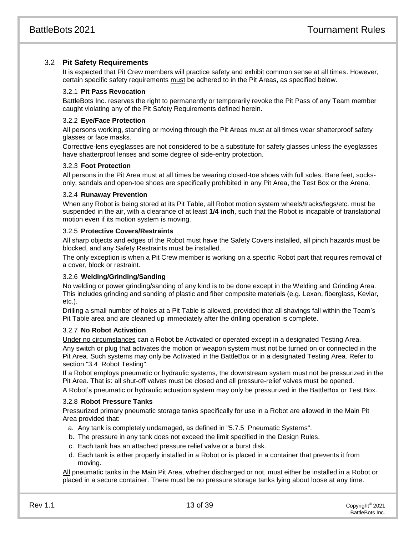# 3.2 **Pit Safety Requirements**

It is expected that Pit Crew members will practice safety and exhibit common sense at all times. However, certain specific safety requirements must be adhered to in the Pit Areas, as specified below.

#### 3.2.1 **Pit Pass Revocation**

BattleBots Inc. reserves the right to permanently or temporarily revoke the Pit Pass of any Team member caught violating any of the Pit Safety Requirements defined herein.

#### 3.2.2 **Eye/Face Protection**

All persons working, standing or moving through the Pit Areas must at all times wear shatterproof safety glasses or face masks.

Corrective-lens eyeglasses are not considered to be a substitute for safety glasses unless the eyeglasses have shatterproof lenses and some degree of side-entry protection.

#### 3.2.3 **Foot Protection**

All persons in the Pit Area must at all times be wearing closed-toe shoes with full soles. Bare feet, socksonly, sandals and open-toe shoes are specifically prohibited in any Pit Area, the Test Box or the Arena.

#### 3.2.4 **Runaway Prevention**

When any Robot is being stored at its Pit Table, all Robot motion system wheels/tracks/legs/etc. must be suspended in the air, with a clearance of at least **1/4 inch**, such that the Robot is incapable of translational motion even if its motion system is moving.

#### 3.2.5 **Protective Covers/Restraints**

All sharp objects and edges of the Robot must have the Safety Covers installed, all pinch hazards must be blocked, and any Safety Restraints must be installed.

The only exception is when a Pit Crew member is working on a specific Robot part that requires removal of a cover, block or restraint.

#### 3.2.6 **Welding/Grinding/Sanding**

No welding or power grinding/sanding of any kind is to be done except in the Welding and Grinding Area. This includes grinding and sanding of plastic and fiber composite materials (e.g. Lexan, fiberglass, Kevlar, etc.).

Drilling a small number of holes at a Pit Table is allowed, provided that all shavings fall within the Team's Pit Table area and are cleaned up immediately after the drilling operation is complete.

#### 3.2.7 **No Robot Activation**

Under no circumstances can a Robot be Activated or operated except in a designated Testing Area.

Any switch or plug that activates the motion or weapon system must not be turned on or connected in the Pit Area. Such systems may only be Activated in the BattleBox or in a designated Testing Area. Refer to section ["3.4](#page-14-0) Robot [Testing"](#page-14-0).

If a Robot employs pneumatic or hydraulic systems, the downstream system must not be pressurized in the Pit Area. That is: all shut-off valves must be closed and all pressure-relief valves must be opened.

A Robot's pneumatic or hydraulic actuation system may only be pressurized in the BattleBox or Test Box.

#### 3.2.8 **Robot Pressure Tanks**

Pressurized primary pneumatic storage tanks specifically for use in a Robot are allowed in the Main Pit Area provided that:

- a. Any tank is completely undamaged, as defined in "5.7.5 Pneumatic Systems".
- b. The pressure in any tank does not exceed the limit specified in the Design Rules.
- c. Each tank has an attached pressure relief valve or a burst disk.
- d. Each tank is either properly installed in a Robot or is placed in a container that prevents it from moving.

All pneumatic tanks in the Main Pit Area, whether discharged or not, must either be installed in a Robot or placed in a secure container. There must be no pressure storage tanks lying about loose at any time.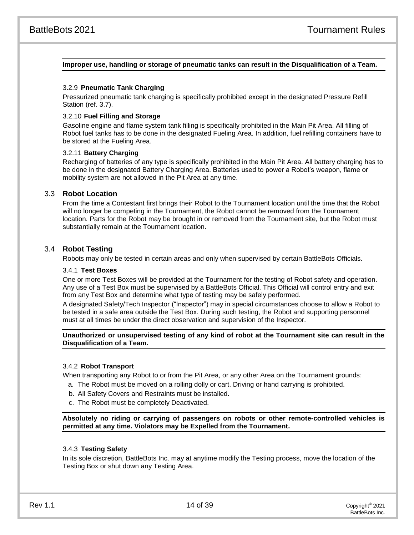#### **Improper use, handling or storage of pneumatic tanks can result in the Disqualification of a Team.**

#### 3.2.9 **Pneumatic Tank Charging**

Pressurized pneumatic tank charging is specifically prohibited except in the designated Pressure Refill Station (ref. [3.7\)](#page-15-0).

#### 3.2.10 **Fuel Filling and Storage**

Gasoline engine and flame system tank filling is specifically prohibited in the Main Pit Area. All filling of Robot fuel tanks has to be done in the designated Fueling Area. In addition, fuel refilling containers have to be stored at the Fueling Area.

#### 3.2.11 **Battery Charging**

Recharging of batteries of any type is specifically prohibited in the Main Pit Area. All battery charging has to be done in the designated Battery Charging Area. Batteries used to power a Robot's weapon, flame or mobility system are not allowed in the Pit Area at any time.

#### 3.3 **Robot Location**

From the time a Contestant first brings their Robot to the Tournament location until the time that the Robot will no longer be competing in the Tournament, the Robot cannot be removed from the Tournament location. Parts for the Robot may be brought in or removed from the Tournament site, but the Robot must substantially remain at the Tournament location.

#### <span id="page-14-0"></span>3.4 **Robot Testing**

Robots may only be tested in certain areas and only when supervised by certain BattleBots Officials.

#### 3.4.1 **Test Boxes**

One or more Test Boxes will be provided at the Tournament for the testing of Robot safety and operation. Any use of a Test Box must be supervised by a BattleBots Official. This Official will control entry and exit from any Test Box and determine what type of testing may be safely performed.

A designated Safety/Tech Inspector ("Inspector") may in special circumstances choose to allow a Robot to be tested in a safe area outside the Test Box. During such testing, the Robot and supporting personnel must at all times be under the direct observation and supervision of the Inspector.

**Unauthorized or unsupervised testing of any kind of robot at the Tournament site can result in the Disqualification of a Team.**

#### 3.4.2 **Robot Transport**

When transporting any Robot to or from the Pit Area, or any other Area on the Tournament grounds:

- a. The Robot must be moved on a rolling dolly or cart. Driving or hand carrying is prohibited.
- b. All Safety Covers and Restraints must be installed.
- c. The Robot must be completely Deactivated.

**Absolutely no riding or carrying of passengers on robots or other remote-controlled vehicles is permitted at any time. Violators may be Expelled from the Tournament.**

#### 3.4.3 **Testing Safety**

In its sole discretion, BattleBots Inc. may at anytime modify the Testing process, move the location of the Testing Box or shut down any Testing Area.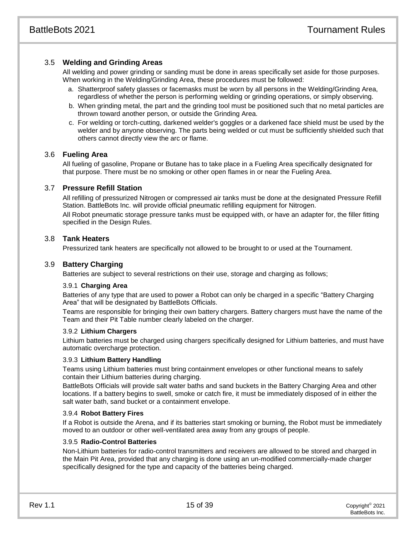# 3.5 **Welding and Grinding Areas**

All welding and power grinding or sanding must be done in areas specifically set aside for those purposes. When working in the Welding/Grinding Area, these procedures must be followed:

- a. Shatterproof safety glasses or facemasks must be worn by all persons in the Welding/Grinding Area, regardless of whether the person is performing welding or grinding operations, or simply observing.
- b. When grinding metal, the part and the grinding tool must be positioned such that no metal particles are thrown toward another person, or outside the Grinding Area.
- c. For welding or torch-cutting, darkened welder's goggles or a darkened face shield must be used by the welder and by anyone observing. The parts being welded or cut must be sufficiently shielded such that others cannot directly view the arc or flame.

#### 3.6 **Fueling Area**

All fueling of gasoline, Propane or Butane has to take place in a Fueling Area specifically designated for that purpose. There must be no smoking or other open flames in or near the Fueling Area.

#### <span id="page-15-0"></span>3.7 **Pressure Refill Station**

All refilling of pressurized Nitrogen or compressed air tanks must be done at the designated Pressure Refill Station. BattleBots Inc. will provide official pneumatic refilling equipment for Nitrogen.

All Robot pneumatic storage pressure tanks must be equipped with, or have an adapter for, the filler fitting specified in the Design Rules.

#### 3.8 **Tank Heaters**

Pressurized tank heaters are specifically not allowed to be brought to or used at the Tournament.

#### 3.9 **Battery Charging**

Batteries are subject to several restrictions on their use, storage and charging as follows;

#### 3.9.1 **Charging Area**

Batteries of any type that are used to power a Robot can only be charged in a specific "Battery Charging Area" that will be designated by BattleBots Officials.

Teams are responsible for bringing their own battery chargers. Battery chargers must have the name of the Team and their Pit Table number clearly labeled on the charger.

#### 3.9.2 **Lithium Chargers**

Lithium batteries must be charged using chargers specifically designed for Lithium batteries, and must have automatic overcharge protection.

#### 3.9.3 **Lithium Battery Handling**

Teams using Lithium batteries must bring containment envelopes or other functional means to safely contain their Lithium batteries during charging.

BattleBots Officials will provide salt water baths and sand buckets in the Battery Charging Area and other locations. If a battery begins to swell, smoke or catch fire, it must be immediately disposed of in either the salt water bath, sand bucket or a containment envelope.

#### 3.9.4 **Robot Battery Fires**

If a Robot is outside the Arena, and if its batteries start smoking or burning, the Robot must be immediately moved to an outdoor or other well-ventilated area away from any groups of people.

#### 3.9.5 **Radio-Control Batteries**

Non-Lithium batteries for radio-control transmitters and receivers are allowed to be stored and charged in the Main Pit Area, provided that any charging is done using an un-modified commercially-made charger specifically designed for the type and capacity of the batteries being charged.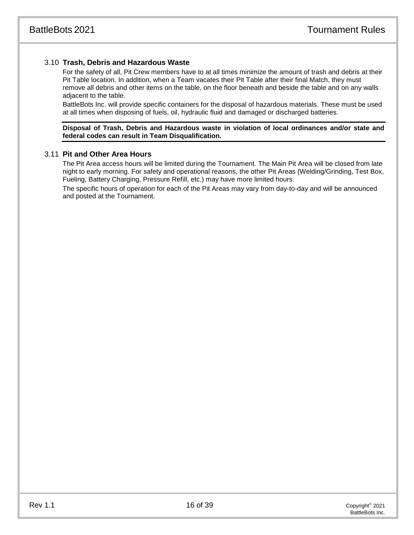# 3.10 **Trash, Debris and Hazardous Waste**

For the safety of all, Pit Crew members have to at all times minimize the amount of trash and debris at their Pit Table location. In addition, when a Team vacates their Pit Table after their final Match, they must remove all debris and other items on the table, on the floor beneath and beside the table and on any walls adjacent to the table.

BattleBots Inc. will provide specific containers for the disposal of hazardous materials. These must be used at all times when disposing of fuels, oil, hydraulic fluid and damaged or discharged batteries.

**Disposal of Trash, Debris and Hazardous waste in violation of local ordinances and/or state and federal codes can result in Team Disqualification.**

#### 3.11 **Pit and Other Area Hours**

The Pit Area access hours will be limited during the Tournament. The Main Pit Area will be closed from late night to early morning. For safety and operational reasons, the other Pit Areas (Welding/Grinding, Test Box, Fueling, Battery Charging, Pressure Refill, etc.) may have more limited hours.

The specific hours of operation for each of the Pit Areas may vary from day-to-day and will be announced and posted at the Tournament.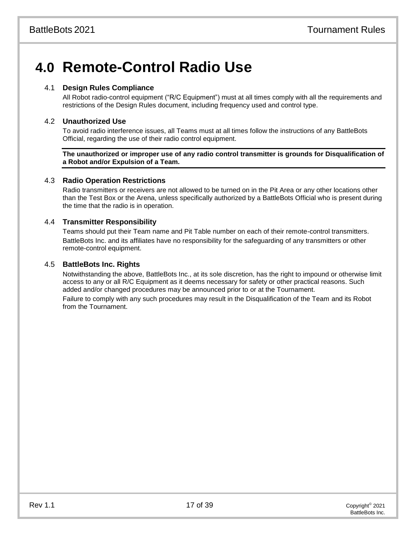# **4.0 Remote-Control Radio Use**

# 4.1 **Design Rules Compliance**

All Robot radio-control equipment ("R/C Equipment") must at all times comply with all the requirements and restrictions of the Design Rules document, including frequency used and control type.

# 4.2 **Unauthorized Use**

To avoid radio interference issues, all Teams must at all times follow the instructions of any BattleBots Official, regarding the use of their radio control equipment.

**The unauthorized or improper use of any radio control transmitter is grounds for Disqualification of a Robot and/or Expulsion of a Team.**

# 4.3 **Radio Operation Restrictions**

Radio transmitters or receivers are not allowed to be turned on in the Pit Area or any other locations other than the Test Box or the Arena, unless specifically authorized by a BattleBots Official who is present during the time that the radio is in operation.

# 4.4 **Transmitter Responsibility**

Teams should put their Team name and Pit Table number on each of their remote-control transmitters. BattleBots Inc. and its affiliates have no responsibility for the safeguarding of any transmitters or other remote-control equipment.

# 4.5 **BattleBots Inc. Rights**

Notwithstanding the above, BattleBots Inc., at its sole discretion, has the right to impound or otherwise limit access to any or all R/C Equipment as it deems necessary for safety or other practical reasons. Such added and/or changed procedures may be announced prior to or at the Tournament. Failure to comply with any such procedures may result in the Disqualification of the Team and its Robot from the Tournament.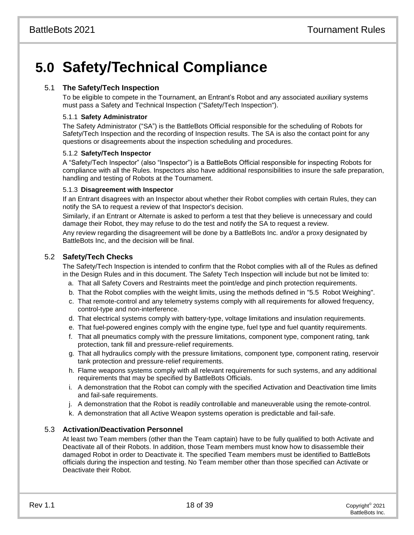# **5.0 Safety/Technical Compliance**

# 5.1 **The Safety/Tech Inspection**

To be eligible to compete in the Tournament, an Entrant's Robot and any associated auxiliary systems must pass a Safety and Technical Inspection ("Safety/Tech Inspection").

## 5.1.1 **Safety Administrator**

The Safety Administrator ("SA") is the BattleBots Official responsible for the scheduling of Robots for Safety/Tech Inspection and the recording of Inspection results. The SA is also the contact point for any questions or disagreements about the inspection scheduling and procedures.

# 5.1.2 **Safety/Tech Inspector**

A "Safety/Tech Inspector" (also "Inspector") is a BattleBots Official responsible for inspecting Robots for compliance with all the Rules. Inspectors also have additional responsibilities to insure the safe preparation, handling and testing of Robots at the Tournament.

#### 5.1.3 **Disagreement with Inspector**

If an Entrant disagrees with an Inspector about whether their Robot complies with certain Rules, they can notify the SA to request a review of that Inspector's decision.

Similarly, if an Entrant or Alternate is asked to perform a test that they believe is unnecessary and could damage their Robot, they may refuse to do the test and notify the SA to request a review.

Any review regarding the disagreement will be done by a BattleBots Inc. and/or a proxy designated by BattleBots Inc, and the decision will be final.

# 5.2 **Safety/Tech Checks**

The Safety/Tech Inspection is intended to confirm that the Robot complies with all of the Rules as defined in the Design Rules and in this document. The Safety Tech Inspection will include but not be limited to:

- a. That all Safety Covers and Restraints meet the point/edge and pinch protection requirements.
- b. That the Robot complies with the weight limits, using the methods defined in "5.5 Robot Weighing".
- c. That remote-control and any telemetry systems comply with all requirements for allowed frequency, control-type and non-interference.
- d. That electrical systems comply with battery-type, voltage limitations and insulation requirements.
- e. That fuel-powered engines comply with the engine type, fuel type and fuel quantity requirements.
- f. That all pneumatics comply with the pressure limitations, component type, component rating, tank protection, tank fill and pressure-relief requirements.
- g. That all hydraulics comply with the pressure limitations, component type, component rating, reservoir tank protection and pressure-relief requirements.
- h. Flame weapons systems comply with all relevant requirements for such systems, and any additional requirements that may be specified by BattleBots Officials.
- i. A demonstration that the Robot can comply with the specified Activation and Deactivation time limits and fail-safe requirements.
- j. A demonstration that the Robot is readily controllable and maneuverable using the remote-control.
- k. A demonstration that all Active Weapon systems operation is predictable and fail-safe.

# 5.3 **Activation/Deactivation Personnel**

At least two Team members (other than the Team captain) have to be fully qualified to both Activate and Deactivate all of their Robots. In addition, those Team members must know how to disassemble their damaged Robot in order to Deactivate it. The specified Team members must be identified to BattleBots officials during the inspection and testing. No Team member other than those specified can Activate or Deactivate their Robot.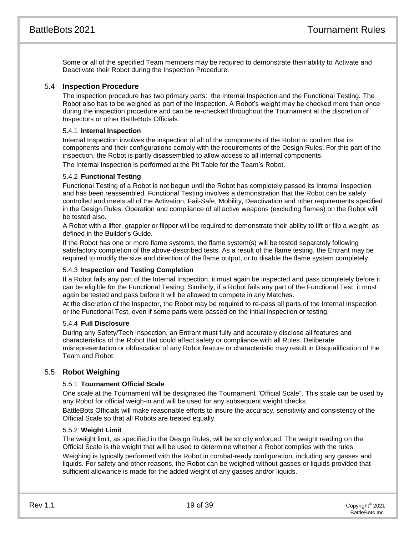Some or all of the specified Team members may be required to demonstrate their ability to Activate and Deactivate their Robot during the Inspection Procedure.

#### 5.4 **Inspection Procedure**

The inspection procedure has two primary parts: the Internal Inspection and the Functional Testing. The Robot also has to be weighed as part of the Inspection. A Robot's weight may be checked more than once during the inspection procedure and can be re-checked throughout the Tournament at the discretion of Inspectors or other BattleBots Officials.

#### 5.4.1 **Internal Inspection**

Internal Inspection involves the inspection of all of the components of the Robot to confirm that its components and their configurations comply with the requirements of the Design Rules. For this part of the inspection, the Robot is partly disassembled to allow access to all internal components.

The Internal Inspection is performed at the Pit Table for the Team's Robot.

#### 5.4.2 **Functional Testing**

Functional Testing of a Robot is not begun until the Robot has completely passed its Internal Inspection and has been reassembled. Functional Testing involves a demonstration that the Robot can be safely controlled and meets all of the Activation, Fail-Safe, Mobility, Deactivation and other requirements specified in the Design Rules. Operation and compliance of all active weapons (excluding flames) on the Robot will be tested also.

A Robot with a lifter, grappler or flipper will be required to demonstrate their ability to lift or flip a weight, as defined in the Builder's Guide.

If the Robot has one or more flame systems, the flame system(s) will be tested separately following satisfactory completion of the above-described tests. As a result of the flame testing, the Entrant may be required to modify the size and direction of the flame output, or to disable the flame system completely.

#### 5.4.3 **Inspection and Testing Completion**

If a Robot fails any part of the Internal Inspection, it must again be inspected and pass completely before it can be eligible for the Functional Testing. Similarly, if a Robot fails any part of the Functional Test, it must again be tested and pass before it will be allowed to compete in any Matches.

At the discretion of the Inspector, the Robot may be required to re-pass all parts of the Internal Inspection or the Functional Test, even if some parts were passed on the initial inspection or testing.

#### 5.4.4 **Full Disclosure**

During any Safety/Tech Inspection, an Entrant must fully and accurately disclose all features and characteristics of the Robot that could affect safety or compliance with all Rules. Deliberate misrepresentation or obfuscation of any Robot feature or characteristic may result in Disqualification of the Team and Robot.

#### 5.5 **Robot Weighing**

#### 5.5.1 **Tournament Official Scale**

One scale at the Tournament will be designated the Tournament "Official Scale". This scale can be used by any Robot for official weigh-in and will be used for any subsequent weight checks.

BattleBots Officials will make reasonable efforts to insure the accuracy, sensitivity and consistency of the Official Scale so that all Robots are treated equally.

#### 5.5.2 **Weight Limit**

The weight limit, as specified in the Design Rules, will be strictly enforced. The weight reading on the Official Scale is the weight that will be used to determine whether a Robot complies with the rules.

Weighing is typically performed with the Robot in combat-ready configuration, including any gasses and liquids. For safety and other reasons, the Robot can be weighed without gasses or liquids provided that sufficient allowance is made for the added weight of any gasses and/or liquids.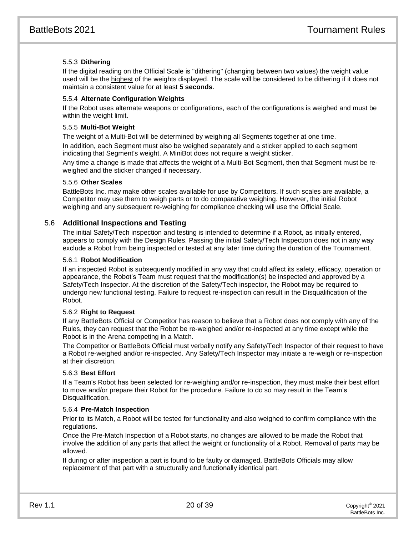## 5.5.3 **Dithering**

If the digital reading on the Official Scale is "dithering" (changing between two values) the weight value used will be the highest of the weights displayed. The scale will be considered to be dithering if it does not maintain a consistent value for at least **5 seconds**.

# 5.5.4 **Alternate Configuration Weights**

If the Robot uses alternate weapons or configurations, each of the configurations is weighed and must be within the weight limit.

#### 5.5.5 **Multi-Bot Weight**

The weight of a Multi-Bot will be determined by weighing all Segments together at one time. In addition, each Segment must also be weighed separately and a sticker applied to each segment indicating that Segment's weight. A MiniBot does not require a weight sticker.

Any time a change is made that affects the weight of a Multi-Bot Segment, then that Segment must be reweighed and the sticker changed if necessary.

#### 5.5.6 **Other Scales**

BattleBots Inc. may make other scales available for use by Competitors. If such scales are available, a Competitor may use them to weigh parts or to do comparative weighing. However, the initial Robot weighing and any subsequent re-weighing for compliance checking will use the Official Scale.

## 5.6 **Additional Inspections and Testing**

The initial Safety/Tech inspection and testing is intended to determine if a Robot, as initially entered, appears to comply with the Design Rules. Passing the initial Safety/Tech Inspection does not in any way exclude a Robot from being inspected or tested at any later time during the duration of the Tournament.

#### 5.6.1 **Robot Modification**

If an inspected Robot is subsequently modified in any way that could affect its safety, efficacy, operation or appearance, the Robot's Team must request that the modification(s) be inspected and approved by a Safety/Tech Inspector. At the discretion of the Safety/Tech inspector, the Robot may be required to undergo new functional testing. Failure to request re-inspection can result in the Disqualification of the Robot.

#### 5.6.2 **Right to Request**

If any BattleBots Official or Competitor has reason to believe that a Robot does not comply with any of the Rules, they can request that the Robot be re-weighed and/or re-inspected at any time except while the Robot is in the Arena competing in a Match.

The Competitor or BattleBots Official must verbally notify any Safety/Tech Inspector of their request to have a Robot re-weighed and/or re-inspected. Any Safety/Tech Inspector may initiate a re-weigh or re-inspection at their discretion.

#### 5.6.3 **Best Effort**

If a Team's Robot has been selected for re-weighing and/or re-inspection, they must make their best effort to move and/or prepare their Robot for the procedure. Failure to do so may result in the Team's Disqualification.

#### <span id="page-20-0"></span>5.6.4 **Pre-Match Inspection**

Prior to its Match, a Robot will be tested for functionality and also weighed to confirm compliance with the regulations.

Once the Pre-Match Inspection of a Robot starts, no changes are allowed to be made the Robot that involve the addition of any parts that affect the weight or functionality of a Robot. Removal of parts may be allowed.

If during or after inspection a part is found to be faulty or damaged, BattleBots Officials may allow replacement of that part with a structurally and functionally identical part.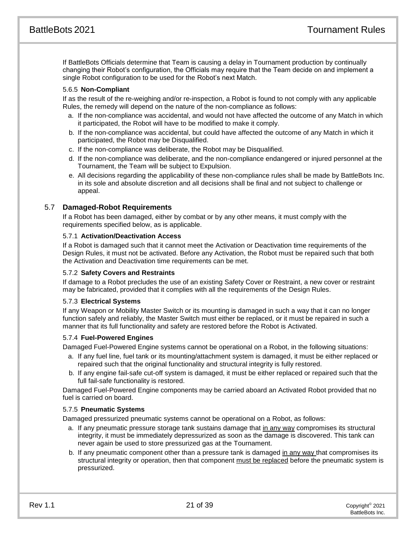If BattleBots Officials determine that Team is causing a delay in Tournament production by continually changing their Robot's configuration, the Officials may require that the Team decide on and implement a single Robot configuration to be used for the Robot's next Match.

#### 5.6.5 **Non-Compliant**

If as the result of the re-weighing and/or re-inspection, a Robot is found to not comply with any applicable Rules, the remedy will depend on the nature of the non-compliance as follows:

- a. If the non-compliance was accidental, and would not have affected the outcome of any Match in which it participated, the Robot will have to be modified to make it comply.
- b. If the non-compliance was accidental, but could have affected the outcome of any Match in which it participated, the Robot may be Disqualified.
- c. If the non-compliance was deliberate, the Robot may be Disqualified.
- d. If the non-compliance was deliberate, and the non-compliance endangered or injured personnel at the Tournament, the Team will be subject to Expulsion.
- e. All decisions regarding the applicability of these non-compliance rules shall be made by BattleBots Inc. in its sole and absolute discretion and all decisions shall be final and not subject to challenge or appeal.

# 5.7 **Damaged-Robot Requirements**

If a Robot has been damaged, either by combat or by any other means, it must comply with the requirements specified below, as is applicable.

#### 5.7.1 **Activation/Deactivation Access**

If a Robot is damaged such that it cannot meet the Activation or Deactivation time requirements of the Design Rules, it must not be activated. Before any Activation, the Robot must be repaired such that both the Activation and Deactivation time requirements can be met.

#### 5.7.2 **Safety Covers and Restraints**

If damage to a Robot precludes the use of an existing Safety Cover or Restraint, a new cover or restraint may be fabricated, provided that it complies with all the requirements of the Design Rules.

#### 5.7.3 **Electrical Systems**

If any Weapon or Mobility Master Switch or its mounting is damaged in such a way that it can no longer function safely and reliably, the Master Switch must either be replaced, or it must be repaired in such a manner that its full functionality and safety are restored before the Robot is Activated.

#### 5.7.4 **Fuel-Powered Engines**

Damaged Fuel-Powered Engine systems cannot be operational on a Robot, in the following situations:

- a. If any fuel line, fuel tank or its mounting/attachment system is damaged, it must be either replaced or repaired such that the original functionality and structural integrity is fully restored.
- b. If any engine fail-safe cut-off system is damaged, it must be either replaced or repaired such that the full fail-safe functionality is restored.

Damaged Fuel-Powered Engine components may be carried aboard an Activated Robot provided that no fuel is carried on board.

#### 5.7.5 **Pneumatic Systems**

Damaged pressurized pneumatic systems cannot be operational on a Robot, as follows:

- a. If any pneumatic pressure storage tank sustains damage that in any way compromises its structural integrity, it must be immediately depressurized as soon as the damage is discovered. This tank can never again be used to store pressurized gas at the Tournament.
- b. If any pneumatic component other than a pressure tank is damaged in any way that compromises its structural integrity or operation, then that component must be replaced before the pneumatic system is pressurized.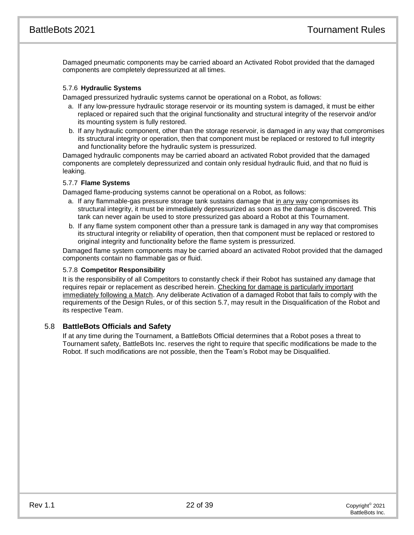Damaged pneumatic components may be carried aboard an Activated Robot provided that the damaged components are completely depressurized at all times.

#### 5.7.6 **Hydraulic Systems**

Damaged pressurized hydraulic systems cannot be operational on a Robot, as follows:

- a. If any low-pressure hydraulic storage reservoir or its mounting system is damaged, it must be either replaced or repaired such that the original functionality and structural integrity of the reservoir and/or its mounting system is fully restored.
- b. If any hydraulic component, other than the storage reservoir, is damaged in any way that compromises its structural integrity or operation, then that component must be replaced or restored to full integrity and functionality before the hydraulic system is pressurized.

Damaged hydraulic components may be carried aboard an activated Robot provided that the damaged components are completely depressurized and contain only residual hydraulic fluid, and that no fluid is leaking.

#### 5.7.7 **Flame Systems**

Damaged flame-producing systems cannot be operational on a Robot, as follows:

- a. If any flammable-gas pressure storage tank sustains damage that in any way compromises its structural integrity, it must be immediately depressurized as soon as the damage is discovered. This tank can never again be used to store pressurized gas aboard a Robot at this Tournament.
- b. If any flame system component other than a pressure tank is damaged in any way that compromises its structural integrity or reliability of operation, then that component must be replaced or restored to original integrity and functionality before the flame system is pressurized.

Damaged flame system components may be carried aboard an activated Robot provided that the damaged components contain no flammable gas or fluid.

#### 5.7.8 **Competitor Responsibility**

It is the responsibility of all Competitors to constantly check if their Robot has sustained any damage that requires repair or replacement as described herein. Checking for damage is particularly important immediately following a Match. Any deliberate Activation of a damaged Robot that fails to comply with the requirements of the Design Rules, or of this section 5.7, may result in the Disqualification of the Robot and its respective Team.

## 5.8 **BattleBots Officials and Safety**

If at any time during the Tournament, a BattleBots Official determines that a Robot poses a threat to Tournament safety, BattleBots Inc. reserves the right to require that specific modifications be made to the Robot. If such modifications are not possible, then the Team's Robot may be Disqualified.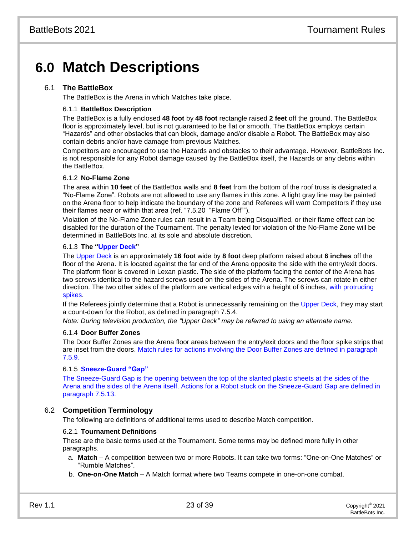# **6.0 Match Descriptions**

# 6.1 **The BattleBox**

The BattleBox is the Arena in which Matches take place.

#### 6.1.1 **BattleBox Description**

The BattleBox is a fully enclosed **48 foot** by **48 foot** rectangle raised **2 feet** off the ground. The BattleBox floor is approximately level, but is not guaranteed to be flat or smooth. The BattleBox employs certain "Hazards" and other obstacles that can block, damage and/or disable a Robot. The BattleBox may also contain debris and/or have damage from previous Matches.

Competitors are encouraged to use the Hazards and obstacles to their advantage. However, BattleBots Inc. is not responsible for any Robot damage caused by the BattleBox itself, the Hazards or any debris within the BattleBox.

# 6.1.2 **No-Flame Zone**

The area within **10 feet** of the BattleBox walls and **8 feet** from the bottom of the roof truss is designated a "No-Flame Zone". Robots are not allowed to use any flames in this zone. A light gray line may be painted on the Arena floor to help indicate the boundary of the zone and Referees will warn Competitors if they use their flames near or within that area (ref. ["7.5.20](#page-32-0) ["Flame](#page-32-0) Off"").

Violation of the No-Flame Zone rules can result in a Team being Disqualified, or their flame effect can be disabled for the duration of the Tournament. The penalty levied for violation of the No-Flame Zone will be determined in BattleBots Inc. at its sole and absolute discretion.

#### 6.1.3 **The "Upper Deck"**

The Upper Deck is an approximately **16 foo**t wide by **8 foo**t deep platform raised about **6 inches** off the floor of the Arena. It is located against the far end of the Arena opposite the side with the entry/exit doors. The platform floor is covered in Lexan plastic. The side of the platform facing the center of the Arena has two screws identical to the hazard screws used on the sides of the Arena. The screws can rotate in either direction. The two other sides of the platform are vertical edges with a height of 6 inches, with protruding spikes.

If the Referees jointly determine that a Robot is unnecessarily remaining on the Upper Deck, they may start a count-down for the Robot, as defined in paragraph [7.5.4.](#page-29-0)

*Note: During television production, the "Upper Deck" may be referred to using an alternate name.*

#### 6.1.4 **Door Buffer Zones**

The Door Buffer Zones are the Arena floor areas between the entry/exit doors and the floor spike strips that are inset from the doors. Match rules for actions involving the Door Buffer Zones are defined in paragraph [7.5.9.](#page-30-0)

#### 6.1.5 **Sneeze-Guard "Gap"**

The Sneeze-Guard Gap is the opening between the top of the slanted plastic sheets at the sides of the Arena and the sides of the Arena itself. Actions for a Robot stuck on the Sneeze-Guard Gap are defined in paragraph [7.5.13.](#page-31-0)

# 6.2 **Competition Terminology**

The following are definitions of additional terms used to describe Match competition.

#### 6.2.1 **Tournament Definitions**

These are the basic terms used at the Tournament. Some terms may be defined more fully in other paragraphs.

- a. **Match**  A competition between two or more Robots. It can take two forms: "One-on-One Matches" or "Rumble Matches".
- b. **One-on-One Match**  A Match format where two Teams compete in one-on-one combat.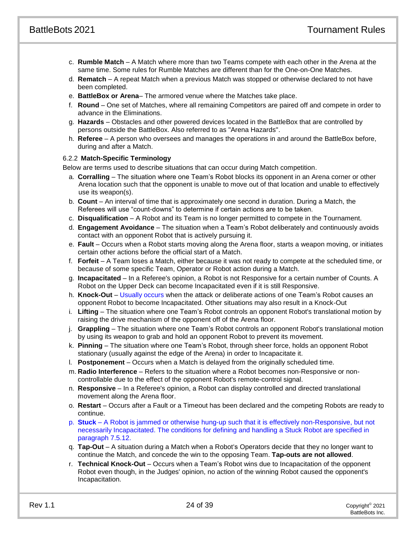- c. **Rumble Match** A Match where more than two Teams compete with each other in the Arena at the same time. Some rules for Rumble Matches are different than for the One-on-One Matches.
- d. **Rematch**  A repeat Match when a previous Match was stopped or otherwise declared to not have been completed.
- e. **BattleBox or Arena** The armored venue where the Matches take place.
- f. **Round** One set of Matches, where all remaining Competitors are paired off and compete in order to advance in the Eliminations.
- g. **Hazards** Obstacles and other powered devices located in the BattleBox that are controlled by persons outside the BattleBox. Also referred to as "Arena Hazards".
- h. **Referee** A person who oversees and manages the operations in and around the BattleBox before, during and after a Match.

#### 6.2.2 **Match-Specific Terminology**

Below are terms used to describe situations that can occur during Match competition.

- a. **Corralling** The situation where one Team's Robot blocks its opponent in an Arena corner or other Arena location such that the opponent is unable to move out of that location and unable to effectively use its weapon(s).
- b. **Count** An interval of time that is approximately one second in duration. During a Match, the Referees will use "count-downs" to determine if certain actions are to be taken.
- c. **Disqualification** A Robot and its Team is no longer permitted to compete in the Tournament.
- d. **Engagement Avoidance** The situation when a Team's Robot deliberately and continuously avoids contact with an opponent Robot that is actively pursuing it.
- e. **Fault** Occurs when a Robot starts moving along the Arena floor, starts a weapon moving, or initiates certain other actions before the official start of a Match.
- f. **Forfeit** A Team loses a Match, either because it was not ready to compete at the scheduled time, or because of some specific Team, Operator or Robot action during a Match.
- g. **Incapacitated** In a Referee's opinion, a Robot is not Responsive for a certain number of Counts. A Robot on the Upper Deck can become Incapacitated even if it is still Responsive.
- h. **Knock-Out** Usually occurs when the attack or deliberate actions of one Team's Robot causes an opponent Robot to become Incapacitated. Other situations may also result in a Knock-Out
- i. **Lifting** The situation where one Team's Robot controls an opponent Robot's translational motion by raising the drive mechanism of the opponent off of the Arena floor.
- j. **Grappling** The situation where one Team's Robot controls an opponent Robot's translational motion by using its weapon to grab and hold an opponent Robot to prevent its movement.
- k. **Pinning** The situation where one Team's Robot, through sheer force, holds an opponent Robot stationary (usually against the edge of the Arena) in order to Incapacitate it.
- l. **Postponement** Occurs when a Match is delayed from the originally scheduled time.
- m. **Radio Interference** Refers to the situation where a Robot becomes non-Responsive or noncontrollable due to the effect of the opponent Robot's remote-control signal.
- n. **Responsive** In a Referee's opinion, a Robot can display controlled and directed translational movement along the Arena floor.
- o. **Restart** Occurs after a Fault or a Timeout has been declared and the competing Robots are ready to continue.
- p. **Stuck** A Robot is jammed or otherwise hung-up such that it is effectively non-Responsive, but not necessarily Incapacitated. The conditions for defining and handling a Stuck Robot are specified in paragraph [7.5.12.](#page-30-1)
- q. **Tap-Out** A situation during a Match when a Robot's Operators decide that they no longer want to continue the Match, and concede the win to the opposing Team. **Tap-outs are not allowed**.
- r. **Technical Knock-Out** Occurs when a Team's Robot wins due to Incapacitation of the opponent Robot even though, in the Judges' opinion, no action of the winning Robot caused the opponent's Incapacitation.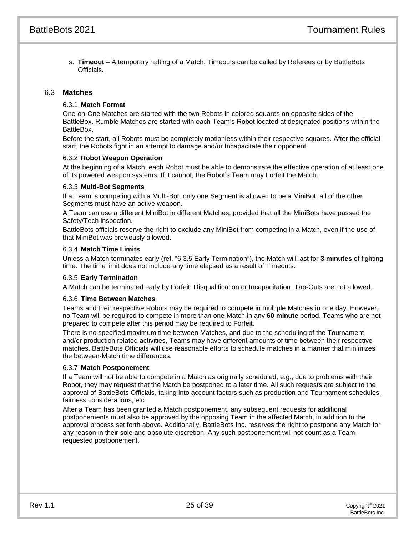s. **Timeout** – A temporary halting of a Match. Timeouts can be called by Referees or by BattleBots Officials.

## 6.3 **Matches**

#### 6.3.1 **Match Format**

One-on-One Matches are started with the two Robots in colored squares on opposite sides of the BattleBox. Rumble Matches are started with each Team's Robot located at designated positions within the BattleBox.

Before the start, all Robots must be completely motionless within their respective squares. After the official start, the Robots fight in an attempt to damage and/or Incapacitate their opponent.

#### 6.3.2 **Robot Weapon Operation**

At the beginning of a Match, each Robot must be able to demonstrate the effective operation of at least one of its powered weapon systems. If it cannot, the Robot's Team may Forfeit the Match.

#### 6.3.3 **Multi-Bot Segments**

If a Team is competing with a Multi-Bot, only one Segment is allowed to be a MiniBot; all of the other Segments must have an active weapon.

A Team can use a different MiniBot in different Matches, provided that all the MiniBots have passed the Safety/Tech inspection.

BattleBots officials reserve the right to exclude any MiniBot from competing in a Match, even if the use of that MiniBot was previously allowed.

#### 6.3.4 **Match Time Limits**

Unless a Match terminates early (ref. ["6.3.5](#page-25-0) [Early Termination"](#page-25-0)), the Match will last for **3 minutes** of fighting time. The time limit does not include any time elapsed as a result of Timeouts.

#### <span id="page-25-0"></span>6.3.5 **Early Termination**

A Match can be terminated early by Forfeit, Disqualification or Incapacitation. Tap-Outs are not allowed.

#### 6.3.6 **Time Between Matches**

Teams and their respective Robots may be required to compete in multiple Matches in one day. However, no Team will be required to compete in more than one Match in any **60 minute** period. Teams who are not prepared to compete after this period may be required to Forfeit.

There is no specified maximum time between Matches, and due to the scheduling of the Tournament and/or production related activities, Teams may have different amounts of time between their respective matches. BattleBots Officials will use reasonable efforts to schedule matches in a manner that minimizes the between-Match time differences.

#### 6.3.7 **Match Postponement**

If a Team will not be able to compete in a Match as originally scheduled, e.g., due to problems with their Robot, they may request that the Match be postponed to a later time. All such requests are subject to the approval of BattleBots Officials, taking into account factors such as production and Tournament schedules, fairness considerations, etc.

After a Team has been granted a Match postponement, any subsequent requests for additional postponements must also be approved by the opposing Team in the affected Match, in addition to the approval process set forth above. Additionally, BattleBots Inc. reserves the right to postpone any Match for any reason in their sole and absolute discretion. Any such postponement will not count as a Teamrequested postponement.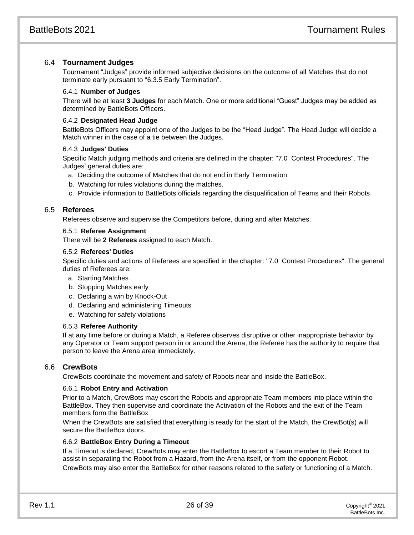# 6.4 **Tournament Judges**

Tournament "Judges" provide informed subjective decisions on the outcome of all Matches that do not terminate early pursuant to "6.3.5 Early Termination".

#### 6.4.1 **Number of Judges**

There will be at least **3 Judges** for each Match. One or more additional "Guest" Judges may be added as determined by BattleBots Officers.

#### <span id="page-26-0"></span>6.4.2 **Designated Head Judge**

BattleBots Officers may appoint one of the Judges to be the "Head Judge". The Head Judge will decide a Match winner in the case of a tie between the Judges.

#### 6.4.3 **Judges' Duties**

Specific Match judging methods and criteria are defined in the chapter: "7.0 Contest Procedures". The Judges' general duties are:

- a. Deciding the outcome of Matches that do not end in Early Termination.
- b. Watching for rules violations during the matches.
- c. Provide information to BattleBots officials regarding the disqualification of Teams and their Robots

#### 6.5 **Referees**

Referees observe and supervise the Competitors before, during and after Matches.

#### 6.5.1 **Referee Assignment**

There will be **2 Referees** assigned to each Match.

#### 6.5.2 **Referees' Duties**

Specific duties and actions of Referees are specified in the chapter: "7.0 Contest Procedures". The general duties of Referees are:

- a. Starting Matches
- b. Stopping Matches early
- c. Declaring a win by Knock-Out
- d. Declaring and administering Timeouts
- e. Watching for safety violations

#### 6.5.3 **Referee Authority**

If at any time before or during a Match, a Referee observes disruptive or other inappropriate behavior by any Operator or Team support person in or around the Arena, the Referee has the authority to require that person to leave the Arena area immediately.

#### 6.6 **CrewBots**

CrewBots coordinate the movement and safety of Robots near and inside the BattleBox.

#### 6.6.1 **Robot Entry and Activation**

Prior to a Match, CrewBots may escort the Robots and appropriate Team members into place within the BattleBox. They then supervise and coordinate the Activation of the Robots and the exit of the Team members form the BattleBox

When the CrewBots are satisfied that everything is ready for the start of the Match, the CrewBot(s) will secure the BattleBox doors.

#### 6.6.2 **BattleBox Entry During a Timeout**

If a Timeout is declared, CrewBots may enter the BattleBox to escort a Team member to their Robot to assist in separating the Robot from a Hazard, from the Arena itself, or from the opponent Robot. CrewBots may also enter the BattleBox for other reasons related to the safety or functioning of a Match.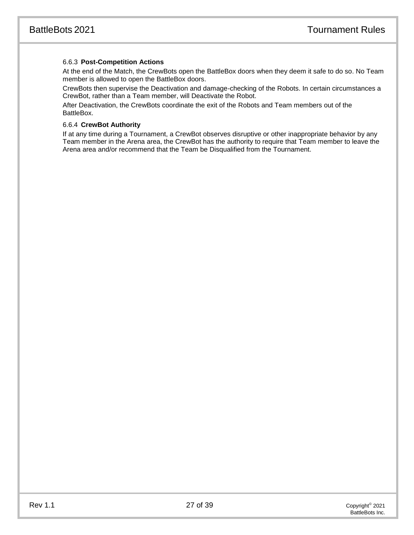# 6.6.3 **Post-Competition Actions**

At the end of the Match, the CrewBots open the BattleBox doors when they deem it safe to do so. No Team member is allowed to open the BattleBox doors.

CrewBots then supervise the Deactivation and damage-checking of the Robots. In certain circumstances a CrewBot, rather than a Team member, will Deactivate the Robot.

After Deactivation, the CrewBots coordinate the exit of the Robots and Team members out of the BattleBox.

#### 6.6.4 **CrewBot Authority**

If at any time during a Tournament, a CrewBot observes disruptive or other inappropriate behavior by any Team member in the Arena area, the CrewBot has the authority to require that Team member to leave the Arena area and/or recommend that the Team be Disqualified from the Tournament.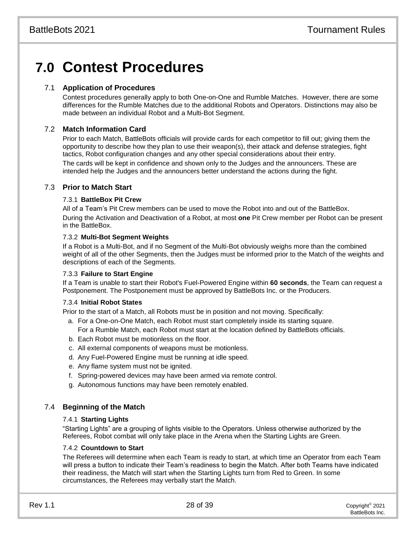# **7.0 Contest Procedures**

# 7.1 **Application of Procedures**

Contest procedures generally apply to both One-on-One and Rumble Matches. However, there are some differences for the Rumble Matches due to the additional Robots and Operators. Distinctions may also be made between an individual Robot and a Multi-Bot Segment.

# 7.2 **Match Information Card**

Prior to each Match, BattleBots officials will provide cards for each competitor to fill out; giving them the opportunity to describe how they plan to use their weapon(s), their attack and defense strategies, fight tactics, Robot configuration changes and any other special considerations about their entry. The cards will be kept in confidence and shown only to the Judges and the announcers. These are intended help the Judges and the announcers better understand the actions during the fight.

# 7.3 **Prior to Match Start**

#### 7.3.1 **BattleBox Pit Crew**

All of a Team's Pit Crew members can be used to move the Robot into and out of the BattleBox. During the Activation and Deactivation of a Robot, at most **one** Pit Crew member per Robot can be present in the BattleBox.

#### 7.3.2 **Multi-Bot Segment Weights**

If a Robot is a Multi-Bot, and if no Segment of the Multi-Bot obviously weighs more than the combined weight of all of the other Segments, then the Judges must be informed prior to the Match of the weights and descriptions of each of the Segments.

#### 7.3.3 **Failure to Start Engine**

If a Team is unable to start their Robot's Fuel-Powered Engine within **60 seconds**, the Team can request a Postponement. The Postponement must be approved by BattleBots Inc. or the Producers.

#### 7.3.4 **Initial Robot States**

Prior to the start of a Match, all Robots must be in position and not moving. Specifically:

- a. For a One-on-One Match, each Robot must start completely inside its starting square.
	- For a Rumble Match, each Robot must start at the location defined by BattleBots officials.
- b. Each Robot must be motionless on the floor.
- c. All external components of weapons must be motionless.
- d. Any Fuel-Powered Engine must be running at idle speed.
- e. Any flame system must not be ignited.
- f. Spring-powered devices may have been armed via remote control.
- g. Autonomous functions may have been remotely enabled.

# 7.4 **Beginning of the Match**

#### 7.4.1 **Starting Lights**

"Starting Lights" are a grouping of lights visible to the Operators. Unless otherwise authorized by the Referees, Robot combat will only take place in the Arena when the Starting Lights are Green.

#### 7.4.2 **Countdown to Start**

The Referees will determine when each Team is ready to start, at which time an Operator from each Team will press a button to indicate their Team's readiness to begin the Match. After both Teams have indicated their readiness, the Match will start when the Starting Lights turn from Red to Green. In some circumstances, the Referees may verbally start the Match.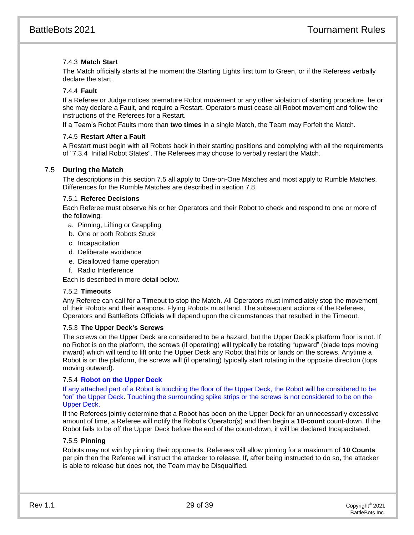# 7.4.3 **Match Start**

The Match officially starts at the moment the Starting Lights first turn to Green, or if the Referees verbally declare the start.

#### 7.4.4 **Fault**

If a Referee or Judge notices premature Robot movement or any other violation of starting procedure, he or she may declare a Fault, and require a Restart. Operators must cease all Robot movement and follow the instructions of the Referees for a Restart.

If a Team's Robot Faults more than **two times** in a single Match, the Team may Forfeit the Match.

#### 7.4.5 **Restart After a Fault**

A Restart must begin with all Robots back in their starting positions and complying with all the requirements of "7.3.4 Initial Robot States". The Referees may choose to verbally restart the Match.

#### 7.5 **During the Match**

The descriptions in this section 7.5 all apply to One-on-One Matches and most apply to Rumble Matches. Differences for the Rumble Matches are described in section 7.8.

## 7.5.1 **Referee Decisions**

Each Referee must observe his or her Operators and their Robot to check and respond to one or more of the following:

- a. Pinning, Lifting or Grappling
- b. One or both Robots Stuck
- c. Incapacitation
- d. Deliberate avoidance
- e. Disallowed flame operation
- f. Radio Interference

Each is described in more detail below.

#### 7.5.2 **Timeouts**

Any Referee can call for a Timeout to stop the Match. All Operators must immediately stop the movement of their Robots and their weapons. Flying Robots must land. The subsequent actions of the Referees, Operators and BattleBots Officials will depend upon the circumstances that resulted in the Timeout.

#### 7.5.3 **The Upper Deck's Screws**

The screws on the Upper Deck are considered to be a hazard, but the Upper Deck's platform floor is not. If no Robot is on the platform, the screws (if operating) will typically be rotating "upward" (blade tops moving inward) which will tend to lift onto the Upper Deck any Robot that hits or lands on the screws. Anytime a Robot is on the platform, the screws will (if operating) typically start rotating in the opposite direction (tops moving outward).

#### <span id="page-29-0"></span>7.5.4 **Robot on the Upper Deck**

If any attached part of a Robot is touching the floor of the Upper Deck, the Robot will be considered to be "on" the Upper Deck. Touching the surrounding spike strips or the screws is not considered to be on the Upper Deck.

If the Referees jointly determine that a Robot has been on the Upper Deck for an unnecessarily excessive amount of time, a Referee will notify the Robot's Operator(s) and then begin a **10-count** count-down. If the Robot fails to be off the Upper Deck before the end of the count-down, it will be declared Incapacitated.

#### 7.5.5 **Pinning**

Robots may not win by pinning their opponents. Referees will allow pinning for a maximum of **10 Counts** per pin then the Referee will instruct the attacker to release. If, after being instructed to do so, the attacker is able to release but does not, the Team may be Disqualified.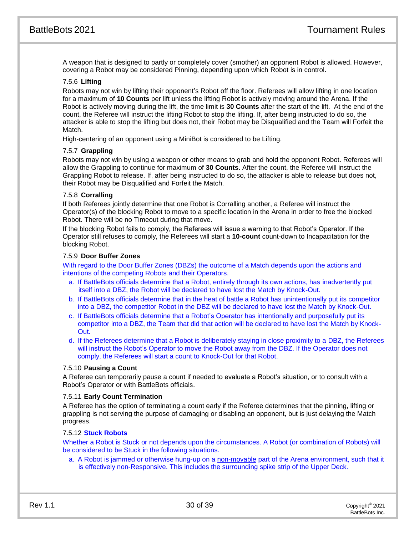A weapon that is designed to partly or completely cover (smother) an opponent Robot is allowed. However, covering a Robot may be considered Pinning, depending upon which Robot is in control.

#### 7.5.6 **Lifting**

Robots may not win by lifting their opponent's Robot off the floor. Referees will allow lifting in one location for a maximum of **10 Counts** per lift unless the lifting Robot is actively moving around the Arena. If the Robot is actively moving during the lift, the time limit is **30 Counts** after the start of the lift. At the end of the count, the Referee will instruct the lifting Robot to stop the lifting. If, after being instructed to do so, the attacker is able to stop the lifting but does not, their Robot may be Disqualified and the Team will Forfeit the Match.

High-centering of an opponent using a MiniBot is considered to be Lifting.

#### 7.5.7 **Grappling**

Robots may not win by using a weapon or other means to grab and hold the opponent Robot. Referees will allow the Grappling to continue for maximum of **30 Counts**. After the count, the Referee will instruct the Grappling Robot to release. If, after being instructed to do so, the attacker is able to release but does not, their Robot may be Disqualified and Forfeit the Match.

#### 7.5.8 **Corralling**

If both Referees jointly determine that one Robot is Corralling another, a Referee will instruct the Operator(s) of the blocking Robot to move to a specific location in the Arena in order to free the blocked Robot. There will be no Timeout during that move.

If the blocking Robot fails to comply, the Referees will issue a warning to that Robot's Operator. If the Operator still refuses to comply, the Referees will start a **10-count** count-down to Incapacitation for the blocking Robot.

#### <span id="page-30-0"></span>7.5.9 **Door Buffer Zones**

With regard to the Door Buffer Zones (DBZs) the outcome of a Match depends upon the actions and intentions of the competing Robots and their Operators.

- a. If BattleBots officials determine that a Robot, entirely through its own actions, has inadvertently put itself into a DBZ, the Robot will be declared to have lost the Match by Knock-Out.
- b. If BattleBots officials determine that in the heat of battle a Robot has unintentionally put its competitor into a DBZ, the competitor Robot in the DBZ will be declared to have lost the Match by Knock-Out.
- c. If BattleBots officials determine that a Robot's Operator has intentionally and purposefully put its competitor into a DBZ, the Team that did that action will be declared to have lost the Match by Knock-Out.
- d. If the Referees determine that a Robot is deliberately staying in close proximity to a DBZ, the Referees will instruct the Robot's Operator to move the Robot away from the DBZ. If the Operator does not comply, the Referees will start a count to Knock-Out for that Robot.

#### 7.5.10 **Pausing a Count**

A Referee can temporarily pause a count if needed to evaluate a Robot's situation, or to consult with a Robot's Operator or with BattleBots officials.

#### 7.5.11 **Early Count Termination**

A Referee has the option of terminating a count early if the Referee determines that the pinning, lifting or grappling is not serving the purpose of damaging or disabling an opponent, but is just delaying the Match progress.

#### <span id="page-30-1"></span>7.5.12 **Stuck Robots**

Whether a Robot is Stuck or not depends upon the circumstances. A Robot (or combination of Robots) will be considered to be Stuck in the following situations.

a. A Robot is jammed or otherwise hung-up on a non-movable part of the Arena environment, such that it is effectively non-Responsive. This includes the surrounding spike strip of the Upper Deck.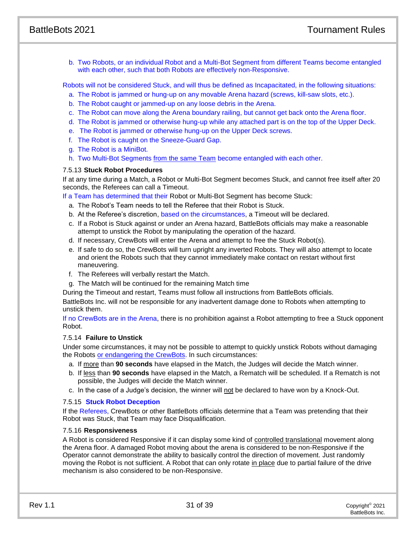b. Two Robots, or an individual Robot and a Multi-Bot Segment from different Teams become entangled with each other, such that both Robots are effectively non-Responsive.

Robots will not be considered Stuck, and will thus be defined as Incapacitated, in the following situations:

- a. The Robot is jammed or hung-up on any movable Arena hazard (screws, kill-saw slots, etc.).
- b. The Robot caught or jammed-up on any loose debris in the Arena.
- c. The Robot can move along the Arena boundary railing, but cannot get back onto the Arena floor.
- d. The Robot is jammed or otherwise hung-up while any attached part is on the top of the Upper Deck.
- e. The Robot is jammed or otherwise hung-up on the Upper Deck screws.
- f. The Robot is caught on the Sneeze-Guard Gap.
- g. The Robot is a MiniBot.
- h. Two Multi-Bot Segments from the same Team become entangled with each other.

#### <span id="page-31-0"></span>7.5.13 **Stuck Robot Procedures**

If at any time during a Match, a Robot or Multi-Bot Segment becomes Stuck, and cannot free itself after 20 seconds, the Referees can call a Timeout.

If a Team has determined that their Robot or Multi-Bot Segment has become Stuck:

- a. The Robot's Team needs to tell the Referee that their Robot is Stuck.
- b. At the Referee's discretion, based on the circumstances, a Timeout will be declared.
- c. If a Robot is Stuck against or under an Arena hazard, BattleBots officials may make a reasonable attempt to unstick the Robot by manipulating the operation of the hazard.
- d. If necessary, CrewBots will enter the Arena and attempt to free the Stuck Robot(s).
- e. If safe to do so, the CrewBots will turn upright any inverted Robots. They will also attempt to locate and orient the Robots such that they cannot immediately make contact on restart without first maneuvering.
- f. The Referees will verbally restart the Match.
- g. The Match will be continued for the remaining Match time

During the Timeout and restart, Teams must follow all instructions from BattleBots officials.

BattleBots Inc. will not be responsible for any inadvertent damage done to Robots when attempting to unstick them.

If no CrewBots are in the Arena, there is no prohibition against a Robot attempting to free a Stuck opponent Robot.

#### 7.5.14 **Failure to Unstick**

Under some circumstances, it may not be possible to attempt to quickly unstick Robots without damaging the Robots or endangering the CrewBots. In such circumstances:

- a. If more than **90 seconds** have elapsed in the Match, the Judges will decide the Match winner.
- b. If less than **90 seconds** have elapsed in the Match, a Rematch will be scheduled. If a Rematch is not possible, the Judges will decide the Match winner.
- c. In the case of a Judge's decision, the winner will not be declared to have won by a Knock-Out.

#### 7.5.15 **Stuck Robot Deception**

If the Referees, CrewBots or other BattleBots officials determine that a Team was pretending that their Robot was Stuck, that Team may face Disqualification.

#### 7.5.16 **Responsiveness**

A Robot is considered Responsive if it can display some kind of controlled translational movement along the Arena floor. A damaged Robot moving about the arena is considered to be non-Responsive if the Operator cannot demonstrate the ability to basically control the direction of movement. Just randomly moving the Robot is not sufficient. A Robot that can only rotate in place due to partial failure of the drive mechanism is also considered to be non-Responsive.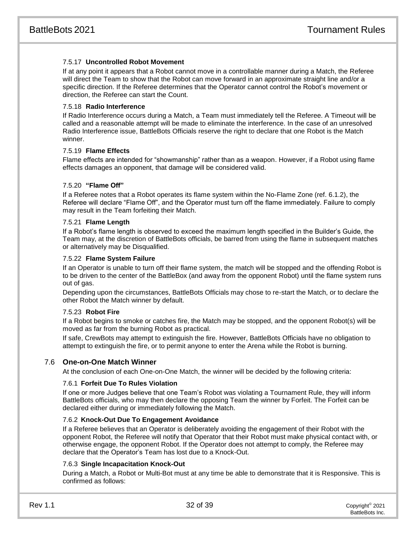#### 7.5.17 **Uncontrolled Robot Movement**

If at any point it appears that a Robot cannot move in a controllable manner during a Match, the Referee will direct the Team to show that the Robot can move forward in an approximate straight line and/or a specific direction. If the Referee determines that the Operator cannot control the Robot's movement or direction, the Referee can start the Count.

#### 7.5.18 **Radio Interference**

If Radio Interference occurs during a Match, a Team must immediately tell the Referee. A Timeout will be called and a reasonable attempt will be made to eliminate the interference. In the case of an unresolved Radio Interference issue, BattleBots Officials reserve the right to declare that one Robot is the Match winner.

#### 7.5.19 **Flame Effects**

Flame effects are intended for "showmanship" rather than as a weapon. However, if a Robot using flame effects damages an opponent, that damage will be considered valid.

#### <span id="page-32-0"></span>7.5.20 **"Flame Off"**

If a Referee notes that a Robot operates its flame system within the No-Flame Zone (ref. 6.1.2), the Referee will declare "Flame Off", and the Operator must turn off the flame immediately. Failure to comply may result in the Team forfeiting their Match.

#### 7.5.21 **Flame Length**

If a Robot's flame length is observed to exceed the maximum length specified in the Builder's Guide, the Team may, at the discretion of BattleBots officials, be barred from using the flame in subsequent matches or alternatively may be Disqualified.

#### 7.5.22 **Flame System Failure**

If an Operator is unable to turn off their flame system, the match will be stopped and the offending Robot is to be driven to the center of the BattleBox (and away from the opponent Robot) until the flame system runs out of gas.

Depending upon the circumstances, BattleBots Officials may chose to re-start the Match, or to declare the other Robot the Match winner by default.

#### 7.5.23 **Robot Fire**

If a Robot begins to smoke or catches fire, the Match may be stopped, and the opponent Robot(s) will be moved as far from the burning Robot as practical.

If safe, CrewBots may attempt to extinguish the fire. However, BattleBots Officials have no obligation to attempt to extinguish the fire, or to permit anyone to enter the Arena while the Robot is burning.

#### 7.6 **One-on-One Match Winner**

At the conclusion of each One-on-One Match, the winner will be decided by the following criteria:

#### 7.6.1 **Forfeit Due To Rules Violation**

If one or more Judges believe that one Team's Robot was violating a Tournament Rule, they will inform BattleBots officials, who may then declare the opposing Team the winner by Forfeit. The Forfeit can be declared either during or immediately following the Match.

#### 7.6.2 **Knock-Out Due To Engagement Avoidance**

If a Referee believes that an Operator is deliberately avoiding the engagement of their Robot with the opponent Robot, the Referee will notify that Operator that their Robot must make physical contact with, or otherwise engage, the opponent Robot. If the Operator does not attempt to comply, the Referee may declare that the Operator's Team has lost due to a Knock-Out.

#### 7.6.3 **Single Incapacitation Knock-Out**

During a Match, a Robot or Multi-Bot must at any time be able to demonstrate that it is Responsive. This is confirmed as follows: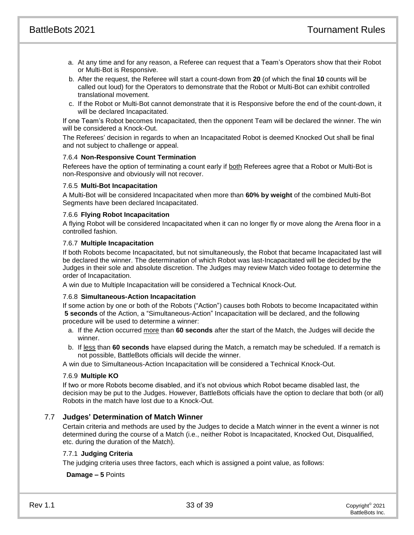- a. At any time and for any reason, a Referee can request that a Team's Operators show that their Robot or Multi-Bot is Responsive.
- b. After the request, the Referee will start a count-down from **20** (of which the final **10** counts will be called out loud) for the Operators to demonstrate that the Robot or Multi-Bot can exhibit controlled translational movement.
- c. If the Robot or Multi-Bot cannot demonstrate that it is Responsive before the end of the count-down, it will be declared Incapacitated.

If one Team's Robot becomes Incapacitated, then the opponent Team will be declared the winner. The win will be considered a Knock-Out.

The Referees' decision in regards to when an Incapacitated Robot is deemed Knocked Out shall be final and not subject to challenge or appeal.

#### 7.6.4 **Non-Responsive Count Termination**

Referees have the option of terminating a count early if both Referees agree that a Robot or Multi-Bot is non-Responsive and obviously will not recover.

#### 7.6.5 **Multi-Bot Incapacitation**

A Multi-Bot will be considered Incapacitated when more than **60% by weight** of the combined Multi-Bot Segments have been declared Incapacitated.

#### 7.6.6 **Flying Robot Incapacitation**

A flying Robot will be considered Incapacitated when it can no longer fly or move along the Arena floor in a controlled fashion.

#### 7.6.7 **Multiple Incapacitation**

If both Robots become Incapacitated, but not simultaneously, the Robot that became Incapacitated last will be declared the winner. The determination of which Robot was last-Incapacitated will be decided by the Judges in their sole and absolute discretion. The Judges may review Match video footage to determine the order of Incapacitation.

A win due to Multiple Incapacitation will be considered a Technical Knock-Out.

#### 7.6.8 **Simultaneous-Action Incapacitation**

If some action by one or both of the Robots ("Action") causes both Robots to become Incapacitated within **5 seconds** of the Action, a "Simultaneous-Action" Incapacitation will be declared, and the following procedure will be used to determine a winner:

- a. If the Action occurred more than **60 seconds** after the start of the Match, the Judges will decide the winner.
- b. If less than **60 seconds** have elapsed during the Match, a rematch may be scheduled. If a rematch is not possible, BattleBots officials will decide the winner.

A win due to Simultaneous-Action Incapacitation will be considered a Technical Knock-Out.

#### 7.6.9 **Multiple KO**

If two or more Robots become disabled, and it's not obvious which Robot became disabled last, the decision may be put to the Judges. However, BattleBots officials have the option to declare that both (or all) Robots in the match have lost due to a Knock-Out.

#### 7.7 **Judges' Determination of Match Winner**

Certain criteria and methods are used by the Judges to decide a Match winner in the event a winner is not determined during the course of a Match (i.e., neither Robot is Incapacitated, Knocked Out, Disqualified, etc. during the duration of the Match).

#### 7.7.1 **Judging Criteria**

The judging criteria uses three factors, each which is assigned a point value, as follows:

#### **Damage – 5** Points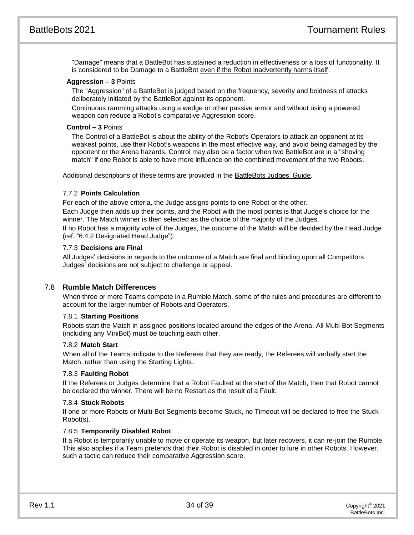"Damage" means that a BattleBot has sustained a reduction in effectiveness or a loss of functionality. It is considered to be Damage to a BattleBot even if the Robot inadvertently harms itself.

#### **Aggression – 3** Points

The "Aggression" of a BattleBot is judged based on the frequency, severity and boldness of attacks deliberately initiated by the BattleBot against its opponent.

Continuous ramming attacks using a wedge or other passive armor and without using a powered weapon can reduce a Robot's comparative Aggression score.

#### **Control – 3** Points

The Control of a BattleBot is about the ability of the Robot's Operators to attack an opponent at its weakest points, use their Robot's weapons in the most effective way, and avoid being damaged by the opponent or the Arena hazards. Control may also be a factor when two BattleBot are in a "shoving match" if one Robot is able to have more influence on the combined movement of the two Robots.

Additional descriptions of these terms are provided in the BattleBots Judges' Guide.

## 7.7.2 **Points Calculation**

For each of the above criteria, the Judge assigns points to one Robot or the other.

Each Judge then adds up their points, and the Robot with the most points is that Judge's choice for the winner. The Match winner is then selected as the choice of the majority of the Judges.

If no Robot has a majority vote of the Judges, the outcome of the Match will be decided by the Head Judge (ref. ["6.4.2](#page-26-0) [Designated Head](#page-26-0) Judge").

#### 7.7.3 **Decisions are Final**

All Judges' decisions in regards to the outcome of a Match are final and binding upon all Competitors. Judges' decisions are not subject to challenge or appeal.

#### 7.8 **Rumble Match Differences**

When three or more Teams compete in a Rumble Match, some of the rules and procedures are different to account for the larger number of Robots and Operators.

#### 7.8.1 **Starting Positions**

Robots start the Match in assigned positions located around the edges of the Arena. All Multi-Bot Segments (including any MiniBot) must be touching each other.

#### 7.8.2 **Match Start**

When all of the Teams indicate to the Referees that they are ready, the Referees will verbally start the Match, rather than using the Starting Lights.

#### 7.8.3 **Faulting Robot**

If the Referees or Judges determine that a Robot Faulted at the start of the Match, then that Robot cannot be declared the winner. There will be no Restart as the result of a Fault.

#### 7.8.4 **Stuck Robots**

If one or more Robots or Multi-Bot Segments become Stuck, no Timeout will be declared to free the Stuck Robot(s).

#### 7.8.5 **Temporarily Disabled Robot**

If a Robot is temporarily unable to move or operate its weapon, but later recovers, it can re-join the Rumble. This also applies if a Team pretends that their Robot is disabled in order to lure in other Robots. However, such a tactic can reduce their comparative Aggression score.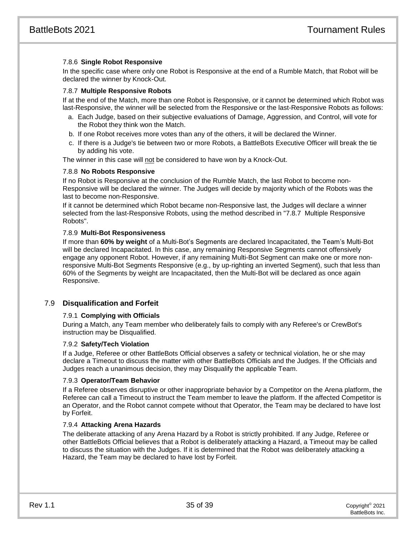## 7.8.6 **Single Robot Responsive**

In the specific case where only one Robot is Responsive at the end of a Rumble Match, that Robot will be declared the winner by Knock-Out.

#### 7.8.7 **Multiple Responsive Robots**

If at the end of the Match, more than one Robot is Responsive, or it cannot be determined which Robot was last-Responsive, the winner will be selected from the Responsive or the last-Responsive Robots as follows:

- a. Each Judge, based on their subjective evaluations of Damage, Aggression, and Control, will vote for the Robot they think won the Match.
- b. If one Robot receives more votes than any of the others, it will be declared the Winner.
- c. If there is a Judge's tie between two or more Robots, a BattleBots Executive Officer will break the tie by adding his vote.

The winner in this case will not be considered to have won by a Knock-Out.

#### 7.8.8 **No Robots Responsive**

If no Robot is Responsive at the conclusion of the Rumble Match, the last Robot to become non-Responsive will be declared the winner. The Judges will decide by majority which of the Robots was the last to become non-Responsive.

If it cannot be determined which Robot became non-Responsive last, the Judges will declare a winner selected from the last-Responsive Robots, using the method described in "7.8.7 Multiple Responsive Robots".

#### 7.8.9 **Multi-Bot Responsiveness**

If more than **60% by weight** of a Multi-Bot's Segments are declared Incapacitated, the Team's Multi-Bot will be declared Incapacitated. In this case, any remaining Responsive Segments cannot offensively engage any opponent Robot. However, if any remaining Multi-Bot Segment can make one or more nonresponsive Multi-Bot Segments Responsive (e.g., by up-righting an inverted Segment), such that less than 60% of the Segments by weight are Incapacitated, then the Multi-Bot will be declared as once again Responsive.

#### 7.9 **Disqualification and Forfeit**

#### 7.9.1 **Complying with Officials**

During a Match, any Team member who deliberately fails to comply with any Referee's or CrewBot's instruction may be Disqualified.

#### 7.9.2 **Safety/Tech Violation**

If a Judge, Referee or other BattleBots Official observes a safety or technical violation, he or she may declare a Timeout to discuss the matter with other BattleBots Officials and the Judges. If the Officials and Judges reach a unanimous decision, they may Disqualify the applicable Team.

#### 7.9.3 **Operator/Team Behavior**

If a Referee observes disruptive or other inappropriate behavior by a Competitor on the Arena platform, the Referee can call a Timeout to instruct the Team member to leave the platform. If the affected Competitor is an Operator, and the Robot cannot compete without that Operator, the Team may be declared to have lost by Forfeit.

#### 7.9.4 **Attacking Arena Hazards**

The deliberate attacking of any Arena Hazard by a Robot is strictly prohibited. If any Judge, Referee or other BattleBots Official believes that a Robot is deliberately attacking a Hazard, a Timeout may be called to discuss the situation with the Judges. If it is determined that the Robot was deliberately attacking a Hazard, the Team may be declared to have lost by Forfeit.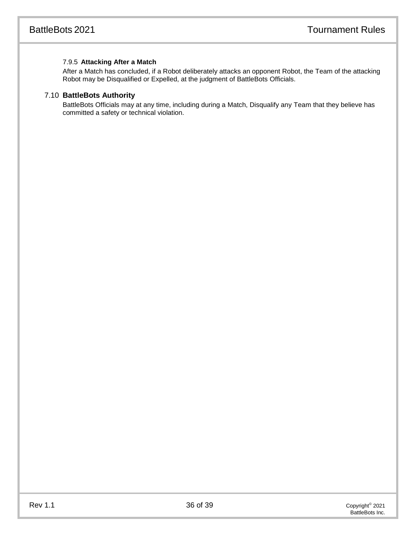# 7.9.5 **Attacking After a Match**

After a Match has concluded, if a Robot deliberately attacks an opponent Robot, the Team of the attacking Robot may be Disqualified or Expelled, at the judgment of BattleBots Officials.

# 7.10 **BattleBots Authority**

BattleBots Officials may at any time, including during a Match, Disqualify any Team that they believe has committed a safety or technical violation.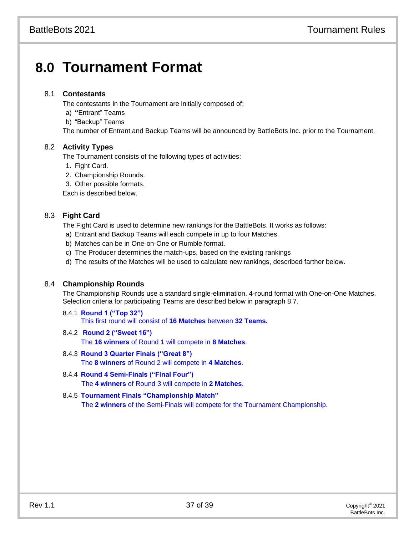# **8.0 Tournament Format**

# 8.1 **Contestants**

The contestants in the Tournament are initially composed of:

- a) **"**Entrant" Teams
- b) "Backup" Teams

The number of Entrant and Backup Teams will be announced by BattleBots Inc. prior to the Tournament.

# 8.2 **Activity Types**

The Tournament consists of the following types of activities:

- 1. Fight Card.
- 2. Championship Rounds.

3. Other possible formats.

Each is described below.

# 8.3 **Fight Card**

The Fight Card is used to determine new rankings for the BattleBots. It works as follows:

- a) Entrant and Backup Teams will each compete in up to four Matches.
- b) Matches can be in One-on-One or Rumble format.
- c) The Producer determines the match-ups, based on the existing rankings
- d) The results of the Matches will be used to calculate new rankings, described farther below.

# 8.4 **Championship Rounds**

The Championship Rounds use a standard single-elimination, 4-round format with One-on-One Matches. Selection criteria for participating Teams are described below in paragraph 8.7.

- 8.4.1 **Round 1 ("Top 32")** This first round will consist of **16 Matches** between **32 Teams.**
- 8.4.2 **Round 2 ("Sweet 16")** The **16 winners** of Round 1 will compete in **8 Matches**.
- 8.4.3 **Round 3 Quarter Finals ("Great 8")** The **8 winners** of Round 2 will compete in **4 Matches**.
- 8.4.4 **Round 4 Semi-Finals ("Final Four")** The **4 winners** of Round 3 will compete in **2 Matches**.

#### 8.4.5 **Tournament Finals "Championship Match"** The **2 winners** of the Semi-Finals will compete for the Tournament Championship.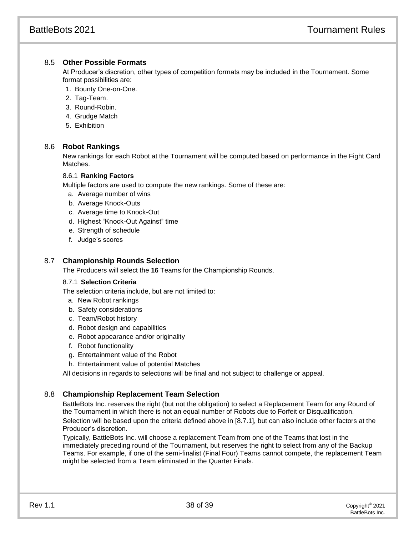# 8.5 **Other Possible Formats**

At Producer's discretion, other types of competition formats may be included in the Tournament. Some format possibilities are:

- 1. Bounty One-on-One.
- 2. Tag-Team.
- 3. Round-Robin.
- 4. Grudge Match
- 5. Exhibition

# 8.6 **Robot Rankings**

New rankings for each Robot at the Tournament will be computed based on performance in the Fight Card Matches.

#### 8.6.1 **Ranking Factors**

Multiple factors are used to compute the new rankings. Some of these are:

- a. Average number of wins
- b. Average Knock-Outs
- c. Average time to Knock-Out
- d. Highest "Knock-Out Against" time
- e. Strength of schedule
- f. Judge's scores

# 8.7 **Championship Rounds Selection**

The Producers will select the **16** Teams for the Championship Rounds.

#### 8.7.1 **Selection Criteria**

The selection criteria include, but are not limited to:

- a. New Robot rankings
- b. Safety considerations
- c. Team/Robot history
- d. Robot design and capabilities
- e. Robot appearance and/or originality
- f. Robot functionality
- g. Entertainment value of the Robot
- h. Entertainment value of potential Matches

All decisions in regards to selections will be final and not subject to challenge or appeal.

# 8.8 **Championship Replacement Team Selection**

BattleBots Inc. reserves the right (but not the obligation) to select a Replacement Team for any Round of the Tournament in which there is not an equal number of Robots due to Forfeit or Disqualification. Selection will be based upon the criteria defined above in [8.7.1], but can also include other factors at the Producer's discretion.

Typically, BattleBots Inc. will choose a replacement Team from one of the Teams that lost in the immediately preceding round of the Tournament, but reserves the right to select from any of the Backup Teams. For example, if one of the semi-finalist (Final Four) Teams cannot compete, the replacement Team might be selected from a Team eliminated in the Quarter Finals.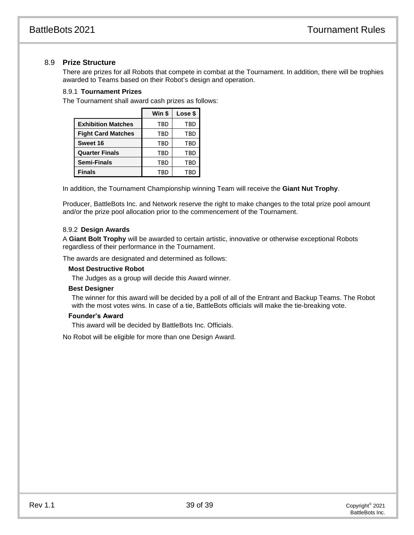# 8.9 **Prize Structure**

There are prizes for all Robots that compete in combat at the Tournament. In addition, there will be trophies awarded to Teams based on their Robot's design and operation.

#### 8.9.1 **Tournament Prizes**

The Tournament shall award cash prizes as follows:

|                           | Win \$     | Lose \$    |
|---------------------------|------------|------------|
| <b>Exhibition Matches</b> | TBD        | TBD        |
| <b>Fight Card Matches</b> | TBD        | TBD        |
| Sweet 16                  | TBD        | TBD        |
| <b>Quarter Finals</b>     | <b>TBD</b> | <b>TBD</b> |
| <b>Semi-Finals</b>        | <b>TBD</b> | TBD        |
| <b>Finals</b>             | TBD        | TBD        |

In addition, the Tournament Championship winning Team will receive the **Giant Nut Trophy**.

Producer, BattleBots Inc. and Network reserve the right to make changes to the total prize pool amount and/or the prize pool allocation prior to the commencement of the Tournament.

#### 8.9.2 **Design Awards**

A **Giant Bolt Trophy** will be awarded to certain artistic, innovative or otherwise exceptional Robots regardless of their performance in the Tournament.

The awards are designated and determined as follows:

#### **Most Destructive Robot**

The Judges as a group will decide this Award winner.

#### **Best Designer**

The winner for this award will be decided by a poll of all of the Entrant and Backup Teams. The Robot with the most votes wins. In case of a tie, BattleBots officials will make the tie-breaking vote.

#### **Founder's Award**

This award will be decided by BattleBots Inc. Officials.

No Robot will be eligible for more than one Design Award.